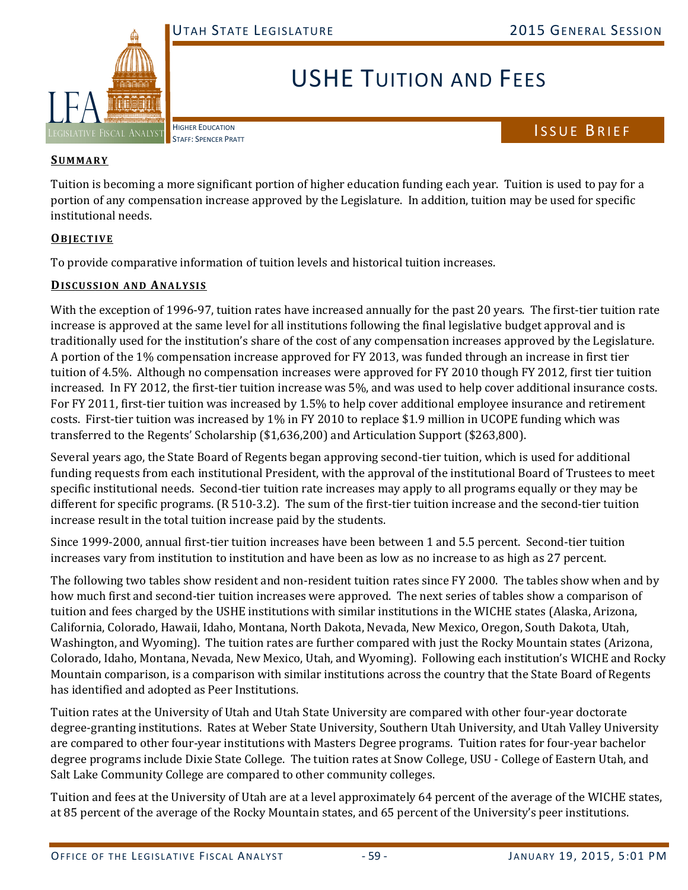

# USHE TUITION AND FEES

HIGHER EDUCATION

# HIGHER EDUCATION<br>STAFF: SPENCER PRATT

## **SUMMARY**

Tuition is becoming a more significant portion of higher education funding each year. Tuition is used to pay for a portion of any compensation increase approved by the Legislature. In addition, tuition may be used for specific institutional needs.

## **OBJECTIVE**

To provide comparative information of tuition levels and historical tuition increases.

## **DISCUSSION AND ANALYSIS**

With the exception of 1996-97, tuition rates have increased annually for the past 20 years. The first-tier tuition rate increase is approved at the same level for all institutions following the final legislative budget approval and is traditionally used for the institution's share of the cost of any compensation increases approved by the Legislature. A portion of the 1% compensation increase approved for FY 2013, was funded through an increase in first tier tuition of 4.5%. Although no compensation increases were approved for FY 2010 though FY 2012, first tier tuition increased. In FY 2012, the first-tier tuition increase was 5%, and was used to help cover additional insurance costs. For FY 2011, first-tier tuition was increased by 1.5% to help cover additional employee insurance and retirement costs. First-tier tuition was increased by  $1\%$  in FY 2010 to replace \$1.9 million in UCOPE funding which was transferred to the Regents' Scholarship (\$1,636,200) and Articulation Support (\$263,800).

Several years ago, the State Board of Regents began approving second-tier tuition, which is used for additional funding requests from each institutional President, with the approval of the institutional Board of Trustees to meet specific institutional needs. Second-tier tuition rate increases may apply to all programs equally or they may be different for specific programs. (R 510-3.2). The sum of the first-tier tuition increase and the second-tier tuition increase result in the total tuition increase paid by the students.

Since 1999-2000, annual first-tier tuition increases have been between 1 and 5.5 percent. Second-tier tuition increases vary from institution to institution and have been as low as no increase to as high as 27 percent.

The following two tables show resident and non-resident tuition rates since FY 2000. The tables show when and by how much first and second-tier tuition increases were approved. The next series of tables show a comparison of tuition and fees charged by the USHE institutions with similar institutions in the WICHE states (Alaska, Arizona, California, Colorado, Hawaii, Idaho, Montana, North Dakota, Nevada, New Mexico, Oregon, South Dakota, Utah, Washington, and Wyoming). The tuition rates are further compared with just the Rocky Mountain states (Arizona, Colorado, Idaho, Montana, Nevada, New Mexico, Utah, and Wyoming). Following each institution's WICHE and Rocky Mountain comparison, is a comparison with similar institutions across the country that the State Board of Regents has identified and adopted as Peer Institutions.

Tuition rates at the University of Utah and Utah State University are compared with other four-year doctorate degree-granting institutions. Rates at Weber State University, Southern Utah University, and Utah Valley University are compared to other four-year institutions with Masters Degree programs. Tuition rates for four-year bachelor degree programs include Dixie State College. The tuition rates at Snow College, USU - College of Eastern Utah, and Salt Lake Community College are compared to other community colleges.

Tuition and fees at the University of Utah are at a level approximately 64 percent of the average of the WICHE states, at 85 percent of the average of the Rocky Mountain states, and 65 percent of the University's peer institutions.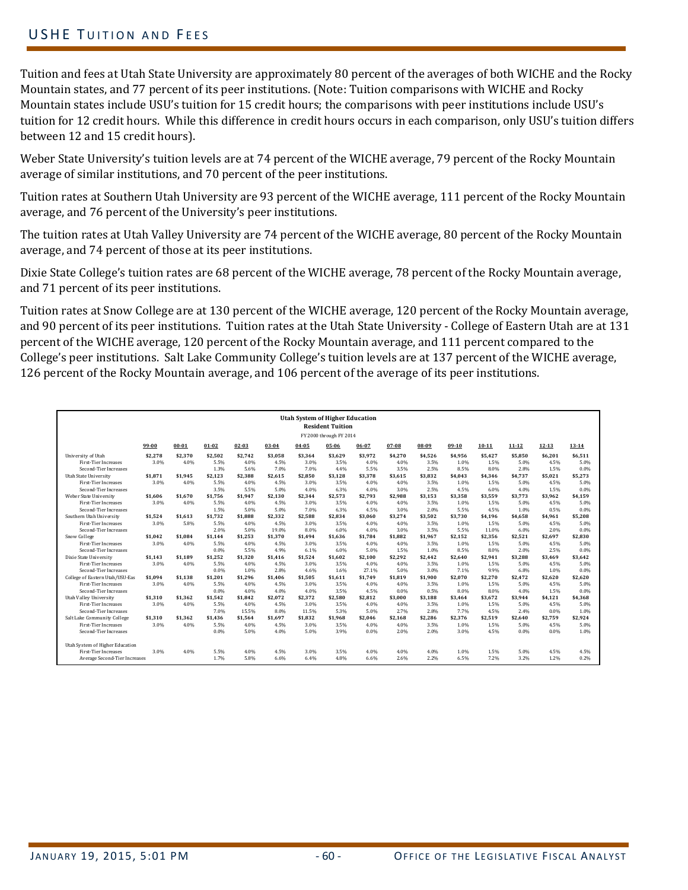## USHE TUITION AND FEES

Tuition and fees at Utah State University are approximately 80 percent of the averages of both WICHE and the Rocky Mountain states, and 77 percent of its peer institutions. (Note: Tuition comparisons with WICHE and Rocky Mountain states include USU's tuition for 15 credit hours; the comparisons with peer institutions include USU's tuition for 12 credit hours. While this difference in credit hours occurs in each comparison, only USU's tuition differs between 12 and 15 credit hours).

Weber State University's tuition levels are at 74 percent of the WICHE average, 79 percent of the Rocky Mountain average of similar institutions, and 70 percent of the peer institutions.

Tuition rates at Southern Utah University are 93 percent of the WICHE average, 111 percent of the Rocky Mountain average, and 76 percent of the University's peer institutions.

The tuition rates at Utah Valley University are 74 percent of the WICHE average, 80 percent of the Rocky Mountain average, and 74 percent of those at its peer institutions.

Dixie State College's tuition rates are 68 percent of the WICHE average, 78 percent of the Rocky Mountain average, and 71 percent of its peer institutions.

Tuition rates at Snow College are at 130 percent of the WICHE average, 120 percent of the Rocky Mountain average, and 90 percent of its peer institutions. Tuition rates at the Utah State University - College of Eastern Utah are at 131 percent of the WICHE average, 120 percent of the Rocky Mountain average, and 111 percent compared to the College's peer institutions. Salt Lake Community College's tuition levels are at 137 percent of the WICHE average, 126 percent of the Rocky Mountain average, and 106 percent of the average of its peer institutions.

|                                 |         |           |           |           |           |           | <b>Utah System of Higher Education</b> |         |         |         |         |           |           |           |           |
|---------------------------------|---------|-----------|-----------|-----------|-----------|-----------|----------------------------------------|---------|---------|---------|---------|-----------|-----------|-----------|-----------|
|                                 |         |           |           |           |           |           | <b>Resident Tuition</b>                |         |         |         |         |           |           |           |           |
|                                 |         |           |           |           |           |           | FY 2000 through FY 2014                |         |         |         |         |           |           |           |           |
|                                 | 99-00   | $00 - 01$ | $01 - 02$ | $02 - 03$ | $03 - 04$ | $04 - 05$ | 05-06                                  | 06-07   | 07-08   | 08-09   | $09-10$ | $10 - 11$ | $11 - 12$ | $12 - 13$ | $13 - 14$ |
|                                 |         |           |           |           |           |           |                                        |         |         |         |         |           |           |           |           |
| University of Utah              | \$2,278 | \$2.370   | \$2.502   | \$2.742   | \$3.058   | \$3.364   | \$3.629                                | \$3.972 | \$4.270 | \$4.526 | \$4.956 | \$5.427   | \$5.850   | \$6.201   | \$6.511   |
| <b>First-Tier Increases</b>     | 3.0%    | 4.0%      | 5.5%      | 4.0%      | 4.5%      | 3.0%      | 3.5%                                   | 4.0%    | 4.0%    | 3.5%    | 1.0%    | 1.5%      | 5.0%      | 4.5%      | 5.0%      |
| Second-Tier Increases           |         |           | 1.3%      | 5.6%      | 7.0%      | 7.0%      | 4.4%                                   | 5.5%    | 3.5%    | 2.5%    | 8.5%    | 8.0%      | 2.8%      | 1.5%      | 0.0%      |
| Utah State University           | \$1.871 | \$1.945   | \$2.123   | \$2.388   | \$2,615   | \$2.850   | \$3.128                                | \$3.378 | \$3.615 | \$3.832 | \$4.043 | \$4.346   | \$4,737   | \$5.021   | \$5,273   |
| <b>First-Tier Increases</b>     | 3.0%    | 4.0%      | 5.5%      | 4.0%      | 4.5%      | 3.0%      | 3.5%                                   | 4.0%    | 4.0%    | 3.5%    | 1.0%    | 1.5%      | 5.0%      | 4.5%      | 5.0%      |
| Second-Tier Increases           |         |           | 3.5%      | 5.5%      | 5.0%      | 4.0%      | 6.3%                                   | 4.0%    | 3.0%    | 2.5%    | 4.5%    | 6.0%      | 4.0%      | 1.5%      | 0.0%      |
| Weber State University          | \$1.606 | \$1.670   | \$1.756   | \$1,947   | \$2,130   | \$2,344   | \$2,573                                | \$2,793 | \$2.988 | \$3,153 | \$3,358 | \$3,559   | \$3,773   | \$3.962   | \$4,159   |
| <b>First-Tier Increases</b>     | 3.0%    | 4.0%      | 5.5%      | 4.0%      | 4.5%      | 3.0%      | 3.5%                                   | 4.0%    | 4.0%    | 3.5%    | 1.0%    | 1.5%      | 5.0%      | 4.5%      | 5.0%      |
| Second-Tier Increases           |         |           | 1.5%      | 5.0%      | 5.0%      | 7.0%      | 6.3%                                   | 4.5%    | 3.0%    | 2.0%    | 5.5%    | 4.5%      | 1.0%      | 0.5%      | 0.0%      |
| Southern Utah University        | \$1.524 | \$1.613   | \$1.732   | \$1.888   | \$2.332   | \$2.588   | \$2.834                                | \$3.060 | \$3.274 | \$3.502 | \$3.730 | \$4.196   | \$4.658   | \$4.961   | \$5,208   |
| <b>First-Tier Increases</b>     | 3.0%    | 5.8%      | 5.5%      | 4.0%      | 4.5%      | 3.0%      | 3.5%                                   | 4.0%    | 4.0%    | 3.5%    | 1.0%    | 1.5%      | 5.0%      | 4.5%      | 5.0%      |
| Second-Tier Increases           |         |           | 2.0%      | 5.0%      | 19.0%     | 8.0%      | 6.0%                                   | 4.0%    | 3.0%    | 3.5%    | 5.5%    | 11.0%     | 6.0%      | 2.0%      | 0.0%      |
| Snow College                    | \$1.042 | \$1.084   | \$1.144   | \$1.253   | \$1.370   | \$1.494   | \$1.636                                | \$1.784 | \$1.882 | \$1.967 | \$2.152 | \$2.356   | \$2.521   | \$2.697   | \$2,830   |
| <b>First-Tier Increases</b>     | 3.0%    | 4.0%      | 5.5%      | 4.0%      | 4.5%      | 3.0%      | 3.5%                                   | 4.0%    | 4.0%    | 3.5%    | 1.0%    | 1.5%      | 5.0%      | 4.5%      | 5.0%      |
| Second-Tier Increases           |         |           | 0.0%      | 5.5%      | 4.9%      | 6.1%      | 6.0%                                   | 5.0%    | 1.5%    | 1.0%    | 8.5%    | 8.0%      | 2.0%      | 2.5%      | 0.0%      |
| Dixie State University          | \$1.143 | \$1.189   | \$1.252   | \$1.320   | \$1.416   | \$1.524   | \$1.602                                | \$2.100 | \$2.292 | \$2.442 | \$2.640 | \$2.941   | \$3.288   | \$3.469   | \$3.642   |
| <b>First-Tier Increases</b>     | 3.0%    | 4.0%      | 5.5%      | 4.0%      | 4.5%      | 3.0%      | 3.5%                                   | 4.0%    | 4.0%    | 3.5%    | 1.0%    | 1.5%      | 5.0%      | 4.5%      | 5.0%      |
| Second-Tier Increases           |         |           | 0.0%      | 1.0%      | 2.8%      | 4.6%      | 1.6%                                   | 27.1%   | 5.0%    | 3.0%    | 7.1%    | 9.9%      | 6.8%      | 1.0%      | 0.0%      |
| College of Eastern Utah/USU-Eas | \$1,094 | \$1.138   | \$1.201   | \$1,296   | \$1.406   | \$1,505   | \$1.611                                | \$1,749 | \$1.819 | \$1.900 | \$2.070 | \$2,270   | \$2,472   | \$2,620   | \$2,620   |
| <b>First-Tier Increases</b>     | 3.0%    | 4.0%      | 5.5%      | 4.0%      | 4.5%      | 3.0%      | 3.5%                                   | 4.0%    | 4.0%    | 3.5%    | 1.0%    | 1.5%      | 5.0%      | 4.5%      | 5.0%      |
| Second-Tier Increases           |         |           | 0.0%      | 4.0%      | 4.0%      | 4.0%      | 3.5%                                   | 4.5%    | 0.0%    | 0.5%    | 8.0%    | 8.0%      | 4.0%      | 1.5%      | 0.0%      |
| <b>Utah Valley University</b>   | \$1.310 | \$1.362   | \$1.542   | \$1.842   | \$2.072   | \$2.372   | \$2.580                                | \$2.812 | \$3,000 | \$3.188 | \$3.464 | \$3.672   | \$3.944   | \$4.121   | \$4.368   |
| <b>First-Tier Increases</b>     | 3.0%    | 4.0%      | 5.5%      | 4.0%      | 4.5%      | 3.0%      | 3.5%                                   | 4.0%    | 4.0%    | 3.5%    | 1.0%    | 1.5%      | 5.0%      | 4.5%      | 5.0%      |
| Second-Tier Increases           |         |           | 7.0%      | 15.5%     | 8.0%      | 11.5%     | 5.3%                                   | 5.0%    | 2.7%    | 2.8%    | 7.7%    | 4.5%      | 2.4%      | 0.0%      | 1.0%      |
| Salt Lake Community College     | \$1.310 | \$1.362   | \$1.436   | \$1.564   | \$1.697   | \$1.832   | \$1.968                                | \$2.046 | \$2.168 | \$2.286 | \$2.376 | \$2.519   | \$2.640   | \$2.759   | \$2.924   |
| <b>First-Tier Increases</b>     | 3.0%    | 4.0%      | 5.5%      | 4.0%      | 4.5%      | 3.0%      | 3.5%                                   | 4.0%    | 4.0%    | 3.5%    | 1.0%    | 1.5%      | 5.0%      | 4.5%      | 5.0%      |
| Second-Tier Increases           |         |           | 0.0%      | 5.0%      | 4.0%      | 5.0%      | 3.9%                                   | 0.0%    | 2.0%    | 2.0%    | 3.0%    | 4.5%      | 0.0%      | 0.0%      | 1.0%      |
| Utah System of Higher Education |         |           |           |           |           |           |                                        |         |         |         |         |           |           |           |           |
| <b>First-Tier Increases</b>     | 3.0%    | 4.0%      | 5.5%      | 4.0%      | 4.5%      | 3.0%      | 3.5%                                   | 4.0%    | 4.0%    | 4.0%    | 1.0%    | 1.5%      | 5.0%      | 4.5%      | 4.5%      |
| Average Second-Tier Increases   |         |           | 1.7%      | 5.8%      | 6.6%      | 6.4%      | 4.8%                                   | 6.6%    | 2.6%    | 2.2%    | 6.5%    | 7.2%      | 3.2%      | 1.2%      | 0.2%      |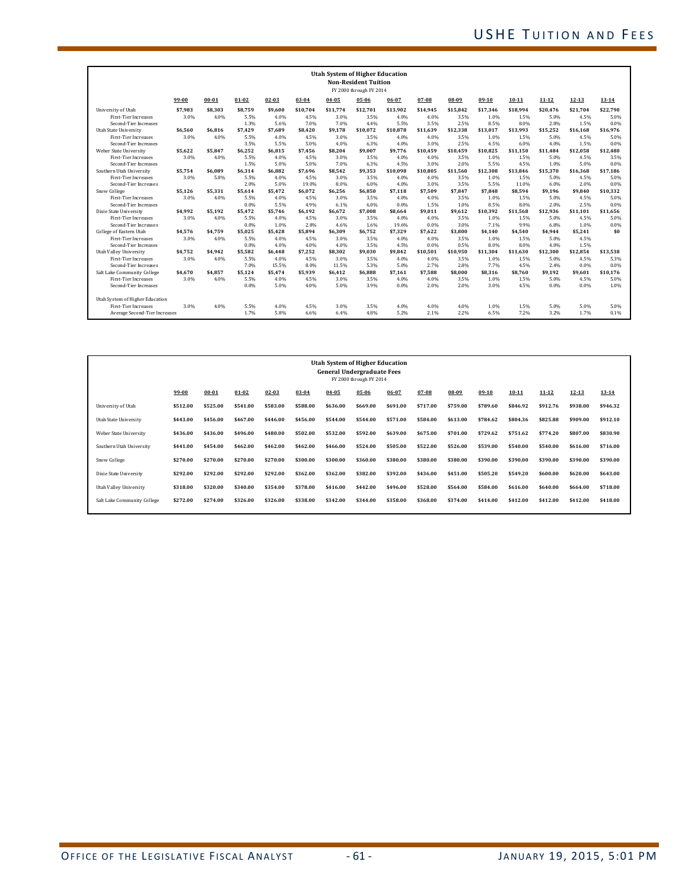| <b>Utah System of Higher Education</b><br><b>Non-Resident Tuition</b><br>FY 2000 through FY 2014 |         |           |           |           |          |          |          |          |          |          |          |           |           |           |           |
|--------------------------------------------------------------------------------------------------|---------|-----------|-----------|-----------|----------|----------|----------|----------|----------|----------|----------|-----------|-----------|-----------|-----------|
|                                                                                                  | 99-00   | $00 - 01$ | $01 - 02$ | $02 - 03$ | 03-04    | 04-05    | 05-06    | 06-07    | 07-08    | 08-09    | $09-10$  | $10 - 11$ | $11 - 12$ | $12 - 13$ | $13 - 14$ |
| University of Utah                                                                               | \$7.983 | \$8.303   | \$8.759   | \$9.600   | \$10.704 | \$11.774 | \$12.701 | \$13.902 | \$14.945 | \$15.842 | \$17.346 | \$18.994  | \$20,476  | \$21.704  | \$22.790  |
| <b>First-Tier Increases</b>                                                                      | 3.0%    | 4.0%      | 5.5%      | 4.0%      | 4.5%     | 3.0%     | 3.5%     | 4.0%     | 4.0%     | 3.5%     | 1.0%     | 1.5%      | 5.0%      | 4.5%      | 5.0%      |
| Second-Tier Increases                                                                            |         |           | 1.3%      | 5.6%      | 7.0%     | 7.0%     | 4.4%     | 5.5%     | 3.5%     | 2.5%     | 8.5%     | 8.0%      | 2.8%      | 1.5%      | 0.0%      |
| Utah State University                                                                            | \$6.560 | \$6.816   | \$7.429   | \$7.689   | \$8.420  | \$9.178  | \$10.072 | \$10.878 | \$11.639 | \$12.338 | \$13.017 | \$13.993  | \$15.252  | \$16.168  | \$16.976  |
| <b>First-Tier Increases</b>                                                                      | 3.0%    | 4.0%      | 5.5%      | 4.0%      | 4.5%     | 3.0%     | 3.5%     | 4.0%     | 4.0%     | 3.5%     | 1.0%     | 1.5%      | 5.0%      | 4.5%      | 5.0%      |
| Second-Tier Increases                                                                            |         |           | 3.5%      | 5.5%      | 5.0%     | 4.0%     | 6.3%     | 4.0%     | 3.0%     | 2.5%     | 4.5%     | 6.0%      | 4.0%      | 1.5%      | 0.0%      |
| Weber State University                                                                           | \$5.622 | \$5.847   | \$6.252   | \$6.815   | \$7.456  | \$8.204  | \$9.007  | \$9.776  | \$10.459 | \$10.459 | \$10.825 | \$11.150  | \$11.484  | \$12.058  | \$12.480  |
| <b>First-Tier Increases</b>                                                                      | 3.0%    | 4.0%      | 5.5%      | 4.0%      | 4.5%     | 3.0%     | 3.5%     | 4.0%     | 4.0%     | 3.5%     | 1.0%     | 1.5%      | 5.0%      | 4.5%      | 3.5%      |
| Second-Tier Increases                                                                            |         |           | 1.5%      | 5.0%      | 5.0%     | 7.0%     | 6.3%     | 4.5%     | 3.0%     | 2.0%     | 5.5%     | 4.5%      | 1.0%      | 5.0%      | 0.0%      |
| Southern Utah University                                                                         | \$5.754 | \$6.089   | \$6.314   | \$6.882   | \$7.696  | \$8.542  | \$9.353  | \$10.098 | \$10.805 | \$11.560 | \$12.308 | \$13.846  | \$15.370  | \$16,368  | \$17,186  |
| First-Tier Increases                                                                             | 3.0%    | 5.8%      | 5.5%      | 4.0%      | 4.5%     | 3.0%     | 3.5%     | 4.0%     | 4.0%     | 3.5%     | 1.0%     | 1.5%      | 5.0%      | 4.5%      | 5.0%      |
| Second-Tier Increases                                                                            |         |           | 2.0%      | 5.0%      | 19.0%    | 8.0%     | 6.0%     | 4.0%     | 3.0%     | 3.5%     | 5.5%     | 11.0%     | 6.0%      | 2.0%      | 0.0%      |
| Snow College                                                                                     | \$5.126 | \$5,331   | \$5.614   | \$5,472   | \$6,072  | \$6,256  | \$6.850  | \$7.118  | \$7.509  | \$7.847  | \$7.848  | \$8,594   | \$9,196   | \$9.840   | \$10.332  |
| <b>First-Tier Increases</b>                                                                      | 3.0%    | 4.0%      | 5.5%      | 4.0%      | 4.5%     | 3.0%     | 3.5%     | 4.0%     | 4.0%     | 3.5%     | 1.0%     | 1.5%      | 5.0%      | 4.5%      | 5.0%      |
| Second-Tier Increases                                                                            |         |           | 0.0%      | 5.5%      | 4.9%     | 6.1%     | 6.0%     | 0.0%     | 1.5%     | 1.0%     | 8.5%     | 8.0%      | 2.0%      | 2.5%      | 0.0%      |
| Dixie State University                                                                           | \$4.992 | \$5.192   | \$5.472   | \$5.746   | \$6.192  | \$6.672  | \$7.008  | \$8.664  | \$9.011  | \$9.612  | \$10.392 | \$11.568  | \$12.936  | \$11.101  | \$11.656  |
| <b>First-Tier Increases</b>                                                                      | 3.0%    | 4.0%      | 5.5%      | 4.0%      | 4.5%     | 3.0%     | 3.5%     | 4.0%     | 4.0%     | 3.5%     | 1.0%     | 1.5%      | 5.0%      | 4.5%      | 5.0%      |
| Second-Tier Increases                                                                            |         |           | 0.0%      | 1.0%      | 2.8%     | 4.6%     | 1.6%     | 19.6%    | 0.0%     | 3.0%     | 7.1%     | 9.9%      | 6.8%      | 1.0%      | 0.0%      |
| College of Eastern Utah                                                                          | \$4.576 | \$4.759   | \$5.025   | \$5.428   | \$5.894  | \$6.309  | \$6.752  | \$7.329  | \$7.622  | \$3.800  | \$4.140  | \$4.540   | \$4.944   | \$5.241   | \$0       |
| <b>First-Tier Increases</b>                                                                      | 3.0%    | 4.0%      | 5.5%      | 4.0%      | 4.5%     | 3.0%     | 3.5%     | 4.0%     | 4.0%     | 3.5%     | 1.0%     | 1.5%      | 5.0%      | 4.5%      |           |
| Second-Tier Increases                                                                            |         |           | 0.0%      | 4.0%      | 4.0%     | 4.0%     | 3.5%     | 4.5%     | 0.0%     | 0.5%     | 8.0%     | 8.0%      | 4.0%      | 1.5%      |           |
| Utah Valley University                                                                           | \$4.752 | \$4.942   | \$5.582   | \$6.448   | \$7.252  | \$8.302  | \$9.030  | \$9.842  | \$10.501 | \$10.950 | \$11.304 | \$11.630  | \$12.300  | \$12.854  | \$13.538  |
| First-Tier Increases                                                                             | 3.0%    | 4.0%      | 5.5%      | 4.0%      | 4.5%     | 3.0%     | 3.5%     | 4.0%     | 4.0%     | 3.5%     | 1.0%     | 1.5%      | 5.0%      | 4.5%      | 5.3%      |
| Second-Tier Increases                                                                            |         |           | 7.0%      | 15.5%     | 8.0%     | 11.5%    | 5.3%     | 5.0%     | 2.7%     | 2.8%     | 7.7%     | 4.5%      | 2.4%      | 0.0%      | 0.0%      |
| Salt Lake Community College                                                                      | \$4.670 | \$4.857   | \$5.124   | \$5.474   | \$5.939  | \$6.412  | \$6.888  | \$7.161  | \$7.588  | \$8.000  | \$8.316  | \$8.760   | \$9.192   | \$9.601   | \$10.176  |
| First-Tier Increases                                                                             | 3.0%    | 4.0%      | 5.5%      | 4.0%      | 4.5%     | 3.0%     | 3.5%     | 4.0%     | 4.0%     | 3.5%     | 1.0%     | 1.5%      | 5.0%      | 4.5%      | 5.0%      |
| Second-Tier Increases                                                                            |         |           | 0.0%      | 5.0%      | 4.0%     | 5.0%     | 3.9%     | 0.0%     | 2.0%     | 2.0%     | 3.0%     | 4.5%      | 0.0%      | 0.0%      | 1.0%      |
| Utah System of Higher Education                                                                  |         |           |           |           |          |          |          |          |          |          |          |           |           |           |           |
| <b>First-Tier Increases</b>                                                                      | 3.0%    | 4.0%      | 5.5%      | 4.0%      | 4.5%     | 3.0%     | 3.5%     | 4.0%     | 4.0%     | 4.0%     | 1.0%     | 1.5%      | 5.0%      | 5.0%      | 5.0%      |
| Average Second-Tier Increases                                                                    |         |           | 1.7%      | 5.8%      | 6.6%     | 6.4%     | 4.8%     | 5.2%     | 2.1%     | 2.2%     | 6.5%     | 7.2%      | 3.2%      | 1.7%      | 0.1%      |

| <b>Utah System of Higher Education</b><br><b>General Undergraduate Fees</b><br>FY 2000 through FY 2014 |          |           |           |          |           |          |          |          |          |          |          |           |           |           |          |
|--------------------------------------------------------------------------------------------------------|----------|-----------|-----------|----------|-----------|----------|----------|----------|----------|----------|----------|-----------|-----------|-----------|----------|
|                                                                                                        | 99-00    | $00 - 01$ | $01 - 02$ | 02-03    | $03 - 04$ | 04-05    | 05-06    | 06-07    | 07-08    | 08-09    | 09-10    | $10 - 11$ | $11 - 12$ | $12 - 13$ | 13-14    |
| University of Utah                                                                                     | \$512.00 | \$525.00  | \$541.00  | \$583.00 | \$588.00  | \$636.00 | \$669.00 | \$691.00 | \$717.00 | \$759.00 | \$789.60 | \$846.92  | \$912.76  | \$938.00  | \$946.32 |
| Utah State University                                                                                  | \$443.00 | \$456.00  | \$467.00  | \$446.00 | \$456.00  | \$544.00 | \$544.00 | \$571.00 | \$584.00 | \$613.00 | \$784.62 | \$804.36  | \$825.88  | \$909.00  | \$912.10 |
| Weber State University                                                                                 | \$436.00 | \$436.00  | \$496.00  | \$480.00 | \$502.00  | \$532.00 | \$592.00 | \$639.00 | \$675.00 | \$701.00 | \$729.62 | \$751.62  | \$774.20  | \$807.00  | \$830.90 |
| Southern Utah University                                                                               | \$441.00 | \$454.00  | \$462.00  | \$462.00 | \$462.00  | \$466.00 | \$524.00 | \$505.00 | \$522.00 | \$526.00 | \$539.00 | \$540.00  | \$540.00  | \$616.00  | \$716.00 |
| Snow College                                                                                           | \$270.00 | \$270.00  | \$270.00  | \$270.00 | \$300.00  | \$300.00 | \$360.00 | \$380.00 | \$380.00 | \$380.00 | \$390.00 | \$390.00  | \$390.00  | \$390.00  | \$390.00 |
| Dixie State University                                                                                 | \$292.00 | \$292.00  | \$292.00  | \$292.00 | \$362.00  | \$362.00 | \$382.00 | \$392.00 | \$436.00 | \$451.00 | \$505.20 | \$549.20  | \$600.00  | \$620.00  | \$643.00 |
| Utah Valley University                                                                                 | \$318.00 | \$320.00  | \$340.00  | \$354.00 | \$378.00  | \$416.00 | \$442.00 | \$496.00 | \$528.00 | \$564.00 | \$584.00 | \$616.00  | \$640.00  | \$664.00  | \$718.00 |
| Salt Lake Community College                                                                            | \$272.00 | \$274.00  | \$326.00  | \$326.00 | \$338.00  | \$342.00 | \$344.00 | \$358.00 | \$368.00 | \$374.00 | \$414.00 | \$412.00  | \$412.00  | \$412.00  | \$418.00 |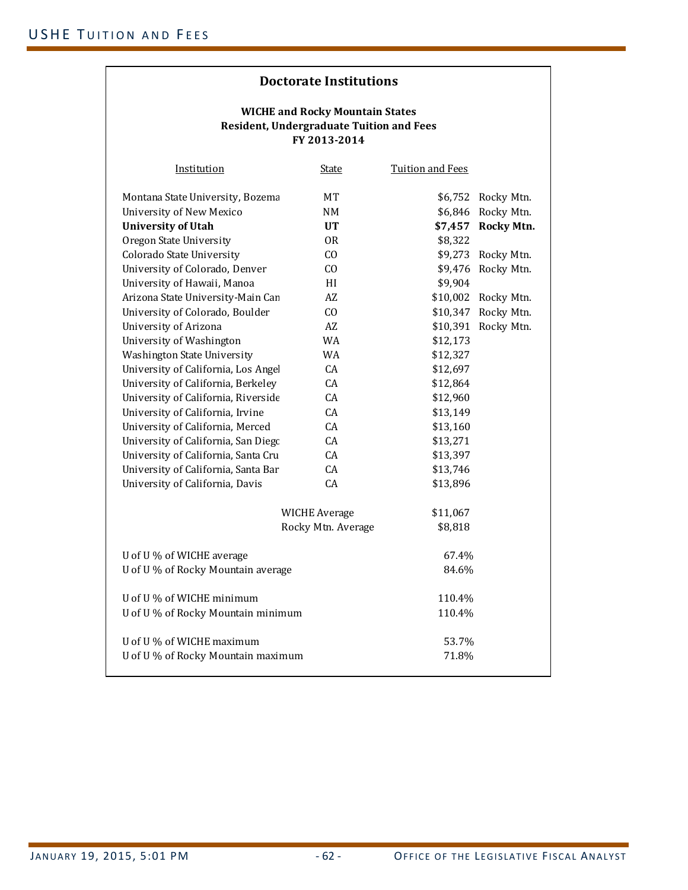| Institution                         | <b>State</b>         | <b>Tuition and Fees</b> |                    |
|-------------------------------------|----------------------|-------------------------|--------------------|
| Montana State University, Bozema    | MT                   |                         | \$6,752 Rocky Mtn. |
| University of New Mexico            | <b>NM</b>            |                         | \$6,846 Rocky Mtn. |
| <b>University of Utah</b>           | <b>UT</b>            | \$7,457                 | <b>Rocky Mtn.</b>  |
| Oregon State University             | 0 <sub>R</sub>       | \$8,322                 |                    |
| Colorado State University           | CO                   | \$9,273                 | Rocky Mtn.         |
| University of Colorado, Denver      | CO                   | \$9,476                 | Rocky Mtn.         |
| University of Hawaii, Manoa         | HI                   | \$9,904                 |                    |
| Arizona State University-Main Can   | AZ                   | \$10,002                | Rocky Mtn.         |
| University of Colorado, Boulder     | CO                   | \$10,347                | Rocky Mtn.         |
| University of Arizona               | AZ                   | \$10,391                | Rocky Mtn.         |
| University of Washington            | WA                   | \$12,173                |                    |
| Washington State University         | <b>WA</b>            | \$12,327                |                    |
| University of California, Los Angel | CA                   | \$12,697                |                    |
| University of California, Berkeley  | CA                   | \$12,864                |                    |
| University of California, Riverside | CA                   | \$12,960                |                    |
| University of California, Irvine    | CA                   | \$13,149                |                    |
| University of California, Merced    | CA                   | \$13,160                |                    |
| University of California, San Diego | CA                   | \$13,271                |                    |
| University of California, Santa Cru | CA                   | \$13,397                |                    |
| University of California, Santa Bar | CA                   | \$13,746                |                    |
| University of California, Davis     | CA                   | \$13,896                |                    |
|                                     | <b>WICHE Average</b> | \$11,067                |                    |
|                                     | Rocky Mtn. Average   | \$8,818                 |                    |
| U of U % of WICHE average           |                      | 67.4%                   |                    |
| U of U % of Rocky Mountain average  |                      | 84.6%                   |                    |
| U of U % of WICHE minimum           |                      | 110.4%                  |                    |
| U of U% of Rocky Mountain minimum   |                      | 110.4%                  |                    |
| U of U % of WICHE maximum           |                      | 53.7%                   |                    |
| U of U% of Rocky Mountain maximum   |                      | 71.8%                   |                    |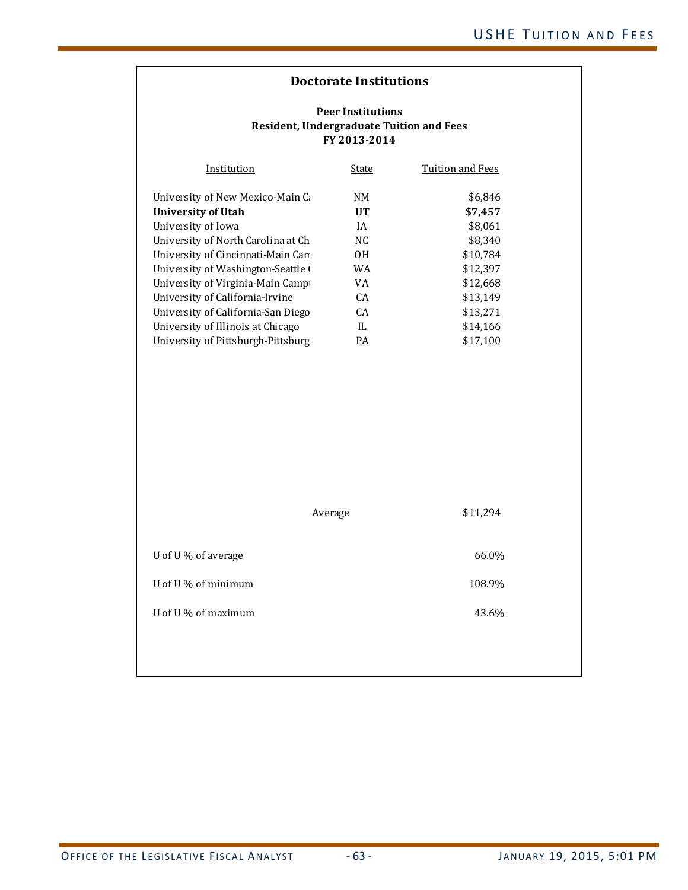| Institution                        | State | Tuition and Fees |
|------------------------------------|-------|------------------|
| University of New Mexico-Main C    | NΜ    | \$6,846          |
| University of Utah                 | UT    | \$7,457          |
| University of Iowa                 | ΙA    | \$8.061          |
| University of North Carolina at Ch | NC.   | \$8.340          |
| University of Cincinnati-Main Can  | 0H    | \$10.784         |
| University of Washington-Seattle ( | WA    | \$12,397         |
| University of Virginia-Main Campi  | VA    | \$12.668         |
| University of California-Irvine    | CA.   | \$13.149         |
| University of California-San Diego | CA.   | \$13,271         |
| University of Illinois at Chicago  | IL    | \$14,166         |
| University of Pittsburgh-Pittsburg | PA    | \$17.100         |

|                     | Average | \$11,294 |
|---------------------|---------|----------|
| U of U % of average |         | 66.0%    |
| U of U % of minimum |         | 108.9%   |
| U of U % of maximum |         | 43.6%    |
|                     |         |          |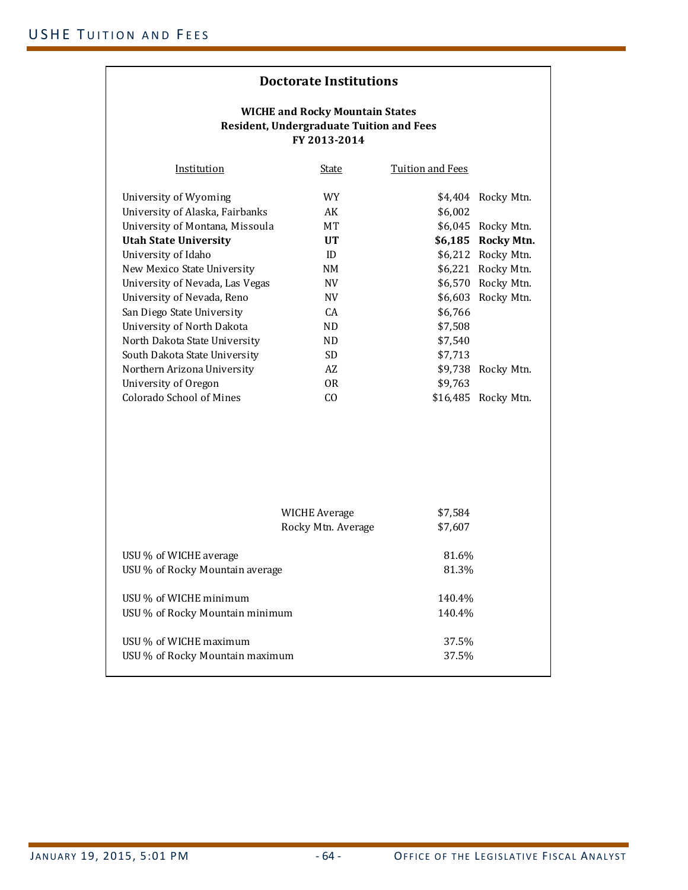| Institution                     | State           | Tuition and Fees |                    |
|---------------------------------|-----------------|------------------|--------------------|
| University of Wyoming           | WY.             |                  | \$4,404 Rocky Mtn. |
| University of Alaska, Fairbanks | AK              | \$6,002          |                    |
| University of Montana, Missoula | MТ              |                  | \$6,045 Rocky Mtn. |
| <b>Utah State University</b>    | $_{\text{IIT}}$ | \$6,185          | Rocky Mtn.         |
| University of Idaho             | ID              |                  | \$6,212 Rocky Mtn. |
| New Mexico State University     | NΜ              | \$6,221          | Rocky Mtn.         |
| University of Nevada, Las Vegas | NV              | \$6,570          | Rocky Mtn.         |
| University of Nevada, Reno      | NV              |                  | \$6,603 Rocky Mtn. |
| San Diego State University      | CA              | \$6,766          |                    |
| University of North Dakota      | ND.             | \$7,508          |                    |
| North Dakota State University   | ND.             | \$7,540          |                    |
| South Dakota State University   | SD.             | \$7,713          |                    |
| Northern Arizona University     | AZ              | \$9,738          | Rocky Mtn.         |
| University of Oregon            | 0R              | \$9,763          |                    |
| Colorado School of Mines        | CO.             | \$16,485         | Rocky Mtn.         |
|                                 |                 |                  |                    |

|                                                           | WICHE Average<br>Rocky Mtn. Average | \$7,584<br>\$7,607 |  |
|-----------------------------------------------------------|-------------------------------------|--------------------|--|
| USU % of WICHE average<br>USU % of Rocky Mountain average |                                     | 81.6%<br>81.3%     |  |
| USU % of WICHE minimum<br>USU % of Rocky Mountain minimum |                                     | 140.4%<br>140.4%   |  |
| USU % of WICHE maximum<br>USU % of Rocky Mountain maximum |                                     | 37.5%<br>37.5%     |  |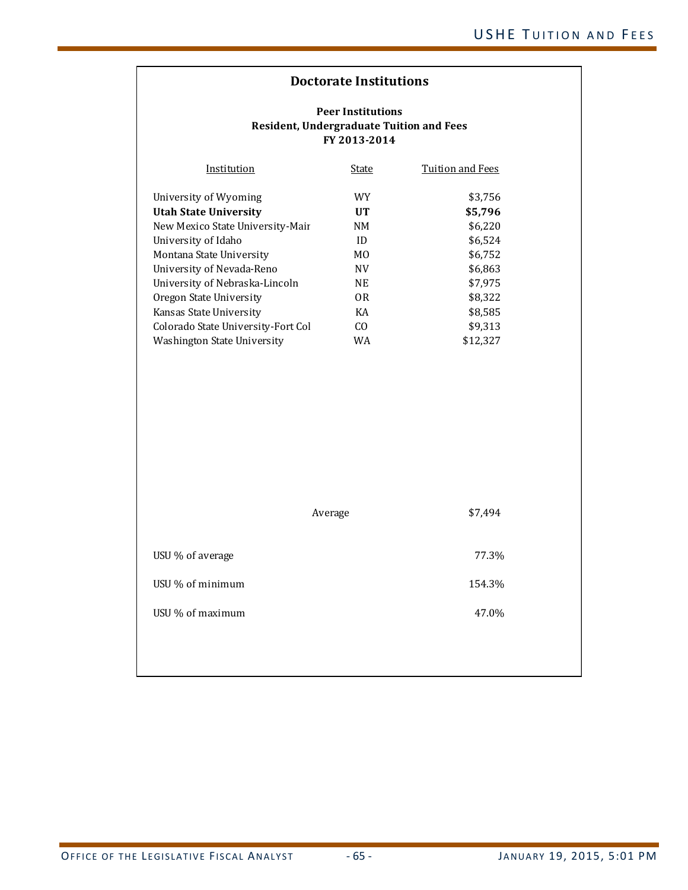| Institution                        | State          | Tuition and Fees |
|------------------------------------|----------------|------------------|
| University of Wyoming              | WY             | \$3,756          |
| <b>Utah State University</b>       | UT             | \$5,796          |
| New Mexico State University-Mair   | NM             | \$6,220          |
| University of Idaho                | ID             | \$6,524          |
| Montana State University           | M <sub>0</sub> | \$6,752          |
| University of Nevada-Reno          | <b>NV</b>      | \$6,863          |
| University of Nebraska-Lincoln     | NE             | \$7.975          |
| Oregon State University            | 0R             | \$8,322          |
| Kansas State University            | KA             | \$8.585          |
| Colorado State University-Fort Col | CO.            | \$9,313          |
| Washington State University        | WA             | \$12.327         |

|                  | Average | \$7,494 |
|------------------|---------|---------|
| USU % of average |         | 77.3%   |
| USU % of minimum |         | 154.3%  |
| USU % of maximum |         | 47.0%   |
|                  |         |         |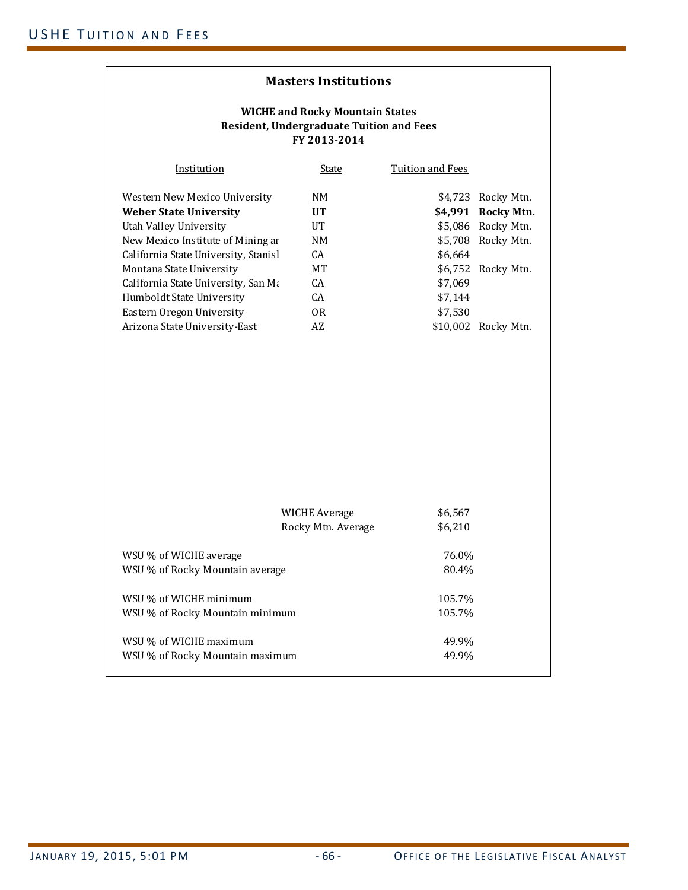|                                                                                                           | <b>Masters Institutions</b> |                         |                     |  |  |  |  |
|-----------------------------------------------------------------------------------------------------------|-----------------------------|-------------------------|---------------------|--|--|--|--|
| <b>WICHE and Rocky Mountain States</b><br><b>Resident, Undergraduate Tuition and Fees</b><br>FY 2013-2014 |                             |                         |                     |  |  |  |  |
| Institution                                                                                               | <b>State</b>                | <b>Tuition and Fees</b> |                     |  |  |  |  |
| Western New Mexico University                                                                             | NM                          |                         | \$4,723 Rocky Mtn.  |  |  |  |  |
| <b>Weber State University</b>                                                                             | <b>UT</b>                   |                         | \$4,991 Rocky Mtn.  |  |  |  |  |
| Utah Valley University                                                                                    | UT                          |                         | \$5,086 Rocky Mtn.  |  |  |  |  |
| New Mexico Institute of Mining ar                                                                         | NM                          |                         | \$5,708 Rocky Mtn.  |  |  |  |  |
| California State University, Stanisl                                                                      | CA                          | \$6,664                 |                     |  |  |  |  |
| Montana State University                                                                                  | МT                          |                         | \$6,752 Rocky Mtn.  |  |  |  |  |
| California State University, San Ma                                                                       | CA                          | \$7,069                 |                     |  |  |  |  |
| Humboldt State University                                                                                 | CA                          | \$7,144                 |                     |  |  |  |  |
| Eastern Oregon University                                                                                 | 0 <sub>R</sub>              | \$7,530                 |                     |  |  |  |  |
| Arizona State University-East                                                                             | AZ                          |                         | \$10,002 Rocky Mtn. |  |  |  |  |
|                                                                                                           |                             |                         |                     |  |  |  |  |
|                                                                                                           | <b>WICHE Average</b>        | \$6,567                 |                     |  |  |  |  |
|                                                                                                           | Rocky Mtn. Average          | \$6,210                 |                     |  |  |  |  |
| WSU % of WICHE average                                                                                    |                             | 76.0%                   |                     |  |  |  |  |
| WSU % of Rocky Mountain average                                                                           |                             | 80.4%                   |                     |  |  |  |  |
| WSU % of WICHE minimum                                                                                    |                             | 105.7%                  |                     |  |  |  |  |
| WSU % of Rocky Mountain minimum                                                                           |                             | 105.7%                  |                     |  |  |  |  |
| WSU % of WICHE maximum                                                                                    |                             | 49.9%                   |                     |  |  |  |  |
| WSU % of Rocky Mountain maximum                                                                           |                             | 49.9%                   |                     |  |  |  |  |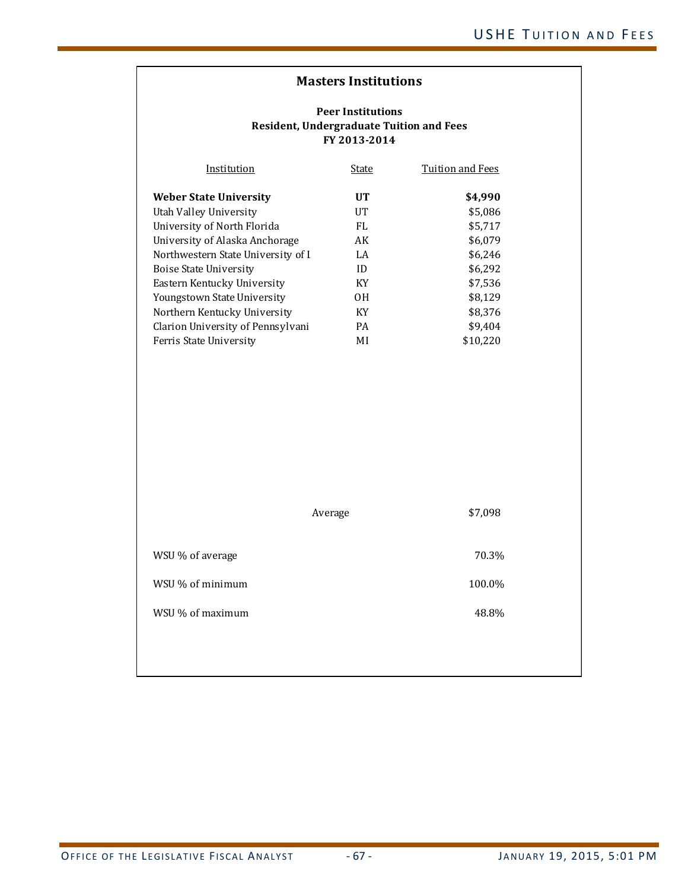| Institution                        | State     | Tuition and Fees |
|------------------------------------|-----------|------------------|
| <b>Weber State University</b>      | UT        | \$4,990          |
| Utah Valley University             | UT        | \$5,086          |
| University of North Florida        | FL        | \$5,717          |
| University of Alaska Anchorage     | AK        | \$6,079          |
| Northwestern State University of I | LA        | \$6,246          |
| Boise State University             | ID        | \$6,292          |
| Eastern Kentucky University        | KY        | \$7.536          |
| Youngstown State University        | OН        | \$8.129          |
| Northern Kentucky University       | KY        | \$8,376          |
| Clarion University of Pennsylvani  | <b>PA</b> | \$9.404          |
| Ferris State University            | ΜI        | \$10.220         |

|                  | Average | \$7,098 |
|------------------|---------|---------|
| WSU % of average |         | 70.3%   |
| WSU % of minimum |         | 100.0%  |
| WSU % of maximum |         | 48.8%   |
|                  |         |         |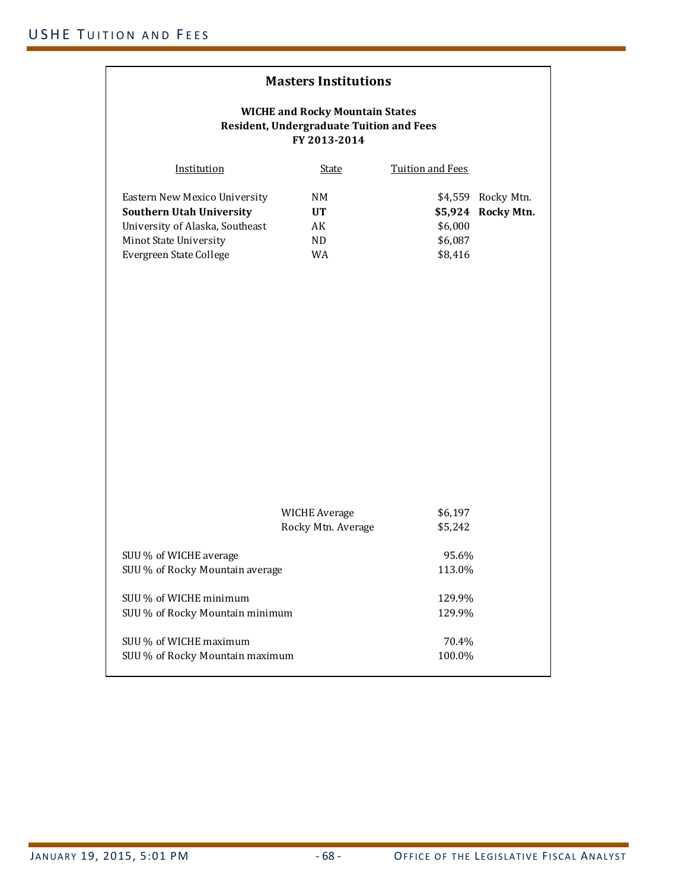| <b>Masters Institutions</b>                                                                                                                              |                                            |                                          |                                         |  |
|----------------------------------------------------------------------------------------------------------------------------------------------------------|--------------------------------------------|------------------------------------------|-----------------------------------------|--|
| <b>WICHE and Rocky Mountain States</b><br><b>Resident, Undergraduate Tuition and Fees</b><br>FY 2013-2014                                                |                                            |                                          |                                         |  |
| Institution                                                                                                                                              | <b>State</b>                               | <b>Tuition and Fees</b>                  |                                         |  |
| Eastern New Mexico University<br><b>Southern Utah University</b><br>University of Alaska, Southeast<br>Minot State University<br>Evergreen State College | NM<br><b>UT</b><br>AK<br>ND<br>WA          | \$5,924<br>\$6,000<br>\$6,087<br>\$8,416 | \$4,559 Rocky Mtn.<br><b>Rocky Mtn.</b> |  |
|                                                                                                                                                          | <b>WICHE Average</b><br>Rocky Mtn. Average | \$6,197<br>\$5,242                       |                                         |  |
| SUU % of WICHE average<br>SUU % of Rocky Mountain average                                                                                                |                                            | 95.6%<br>113.0%                          |                                         |  |
| SUU % of WICHE minimum<br>SUU % of Rocky Mountain minimum                                                                                                |                                            | 129.9%<br>129.9%                         |                                         |  |
| SUU % of WICHE maximum<br>SUU % of Rocky Mountain maximum                                                                                                |                                            | 70.4%<br>100.0%                          |                                         |  |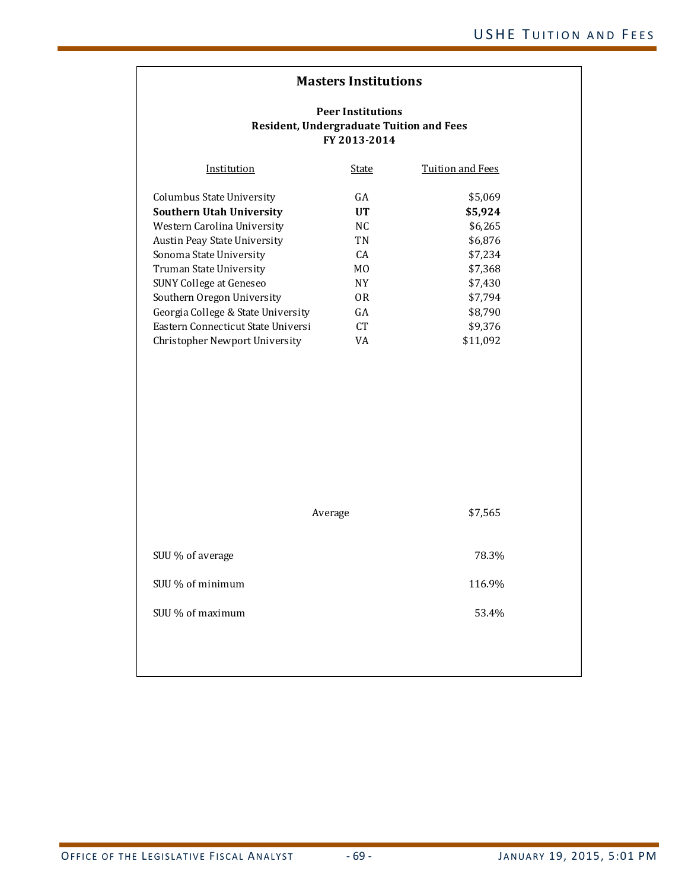| Institution                        | State           | Tuition and Fees |
|------------------------------------|-----------------|------------------|
| Columbus State University          | GA              | \$5.069          |
| <b>Southern Utah University</b>    | UT              | \$5.924          |
| Western Carolina University        | NC.             | \$6,265          |
| Austin Peay State University       | TN              | \$6,876          |
| Sonoma State University            | CA.             | \$7.234          |
| Truman State University            | M <sub>0</sub>  | \$7,368          |
| <b>SUNY College at Geneseo</b>     | <b>NY</b>       | \$7.430          |
| Southern Oregon University         | 0R              | \$7.794          |
| Georgia College & State University | GA              | \$8.790          |
| Eastern Connecticut State Universi | CT <sup>.</sup> | \$9.376          |
| Christopher Newport University     | VA              | \$11,092         |

|                  | Average | \$7,565 |
|------------------|---------|---------|
| SUU % of average |         | 78.3%   |
| SUU % of minimum |         | 116.9%  |
| SUU % of maximum |         | 53.4%   |
|                  |         |         |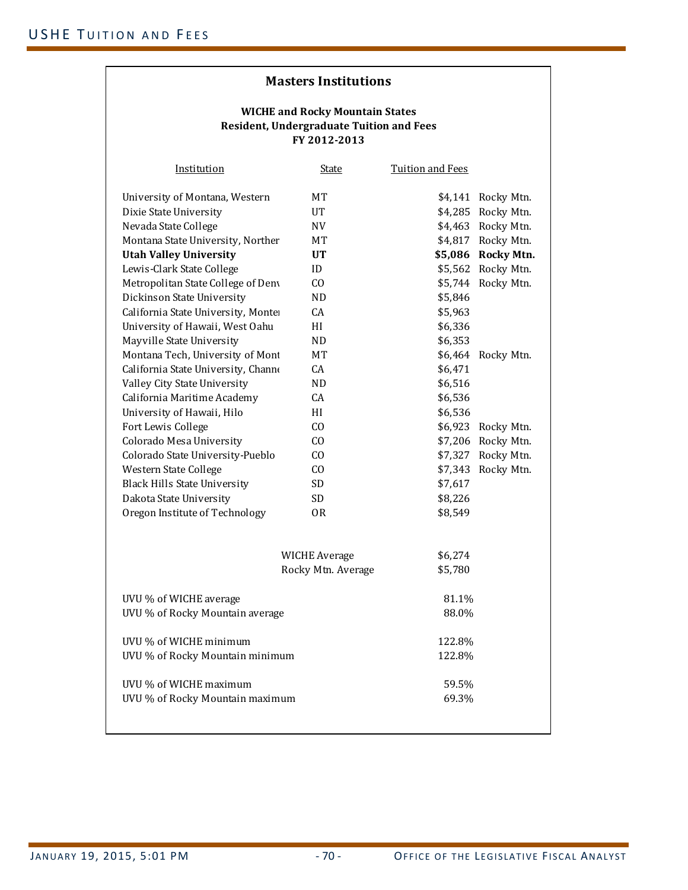| <b>Institution</b>                  | <u>State</u>             | <b>Tuition and Fees</b> |                    |
|-------------------------------------|--------------------------|-------------------------|--------------------|
| University of Montana, Western      | MT                       |                         | \$4,141 Rocky Mtn. |
| Dixie State University              | UT                       | \$4,285                 | Rocky Mtn.         |
| Nevada State College                | $\ensuremath{\text{NV}}$ |                         | \$4,463 Rocky Mtn. |
| Montana State University, Norther   | <b>MT</b>                |                         | \$4,817 Rocky Mtn. |
| <b>Utah Valley University</b>       | <b>UT</b>                |                         | \$5,086 Rocky Mtn. |
| Lewis-Clark State College           | ID                       |                         | \$5,562 Rocky Mtn. |
| Metropolitan State College of Deny  | CO                       | \$5,744                 | Rocky Mtn.         |
| Dickinson State University          | <b>ND</b>                | \$5,846                 |                    |
| California State University, Monter | CA                       | \$5,963                 |                    |
| University of Hawaii, West Oahu     | HI                       | \$6,336                 |                    |
| Mayville State University           | ND.                      | \$6,353                 |                    |
| Montana Tech, University of Mont    | <b>MT</b>                |                         | \$6,464 Rocky Mtn. |
| California State University, Channe | CA                       | \$6,471                 |                    |
| Valley City State University        | ND                       | \$6,516                 |                    |
| California Maritime Academy         | CA                       | \$6,536                 |                    |
| University of Hawaii, Hilo          | HI                       | \$6,536                 |                    |
| Fort Lewis College                  | C <sub>0</sub>           |                         | \$6,923 Rocky Mtn. |
| Colorado Mesa University            | CO                       | \$7,206                 | Rocky Mtn.         |
| Colorado State University-Pueblo    | CO                       | \$7,327                 | Rocky Mtn.         |
| Western State College               | C <sub>O</sub>           | \$7,343                 | Rocky Mtn.         |
| <b>Black Hills State University</b> | <b>SD</b>                | \$7,617                 |                    |
| Dakota State University             | <b>SD</b>                | \$8,226                 |                    |
| Oregon Institute of Technology      | 0R                       | \$8,549                 |                    |
|                                     |                          |                         |                    |
|                                     | <b>WICHE Average</b>     | \$6,274                 |                    |
|                                     | Rocky Mtn. Average       | \$5,780                 |                    |
|                                     |                          |                         |                    |
| UVU % of WICHE average              |                          | 81.1%                   |                    |
| UVU % of Rocky Mountain average     |                          | 88.0%                   |                    |
| UVU % of WICHE minimum              |                          | 122.8%                  |                    |
| UVU % of Rocky Mountain minimum     |                          | 122.8%                  |                    |
| UVU % of WICHE maximum              |                          | 59.5%                   |                    |
| UVU % of Rocky Mountain maximum     |                          | 69.3%                   |                    |
|                                     |                          |                         |                    |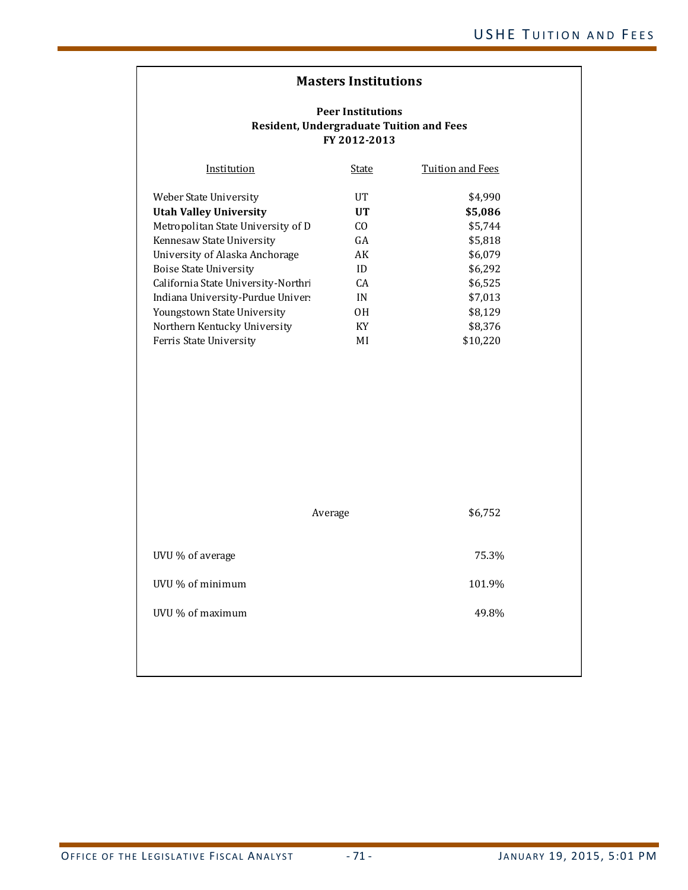#### **Peer Institutions Resident, Undergraduate Tuition and Fees FY 2012‐2013**

| Institution                         | State          | Tuition and Fees |
|-------------------------------------|----------------|------------------|
| Weber State University              | UT             | \$4.990          |
| <b>Utah Valley University</b>       | UT             | \$5,086          |
| Metropolitan State University of D  | C <sub>O</sub> | \$5,744          |
| Kennesaw State University           | GA             | \$5,818          |
| University of Alaska Anchorage      | AK             | \$6,079          |
| Boise State University              | ID             | \$6,292          |
| California State University-Northri | CA             | \$6.525          |
| Indiana University-Purdue Univer    | IN             | \$7.013          |
| Youngstown State University         | 0H             | \$8.129          |
| Northern Kentucky University        | KY             | \$8.376          |
| Ferris State University             | ΜI             | \$10.220         |

|                  | Average | \$6,752 |
|------------------|---------|---------|
| UVU % of average |         | 75.3%   |
| UVU % of minimum |         | 101.9%  |
| UVU % of maximum |         | 49.8%   |
|                  |         |         |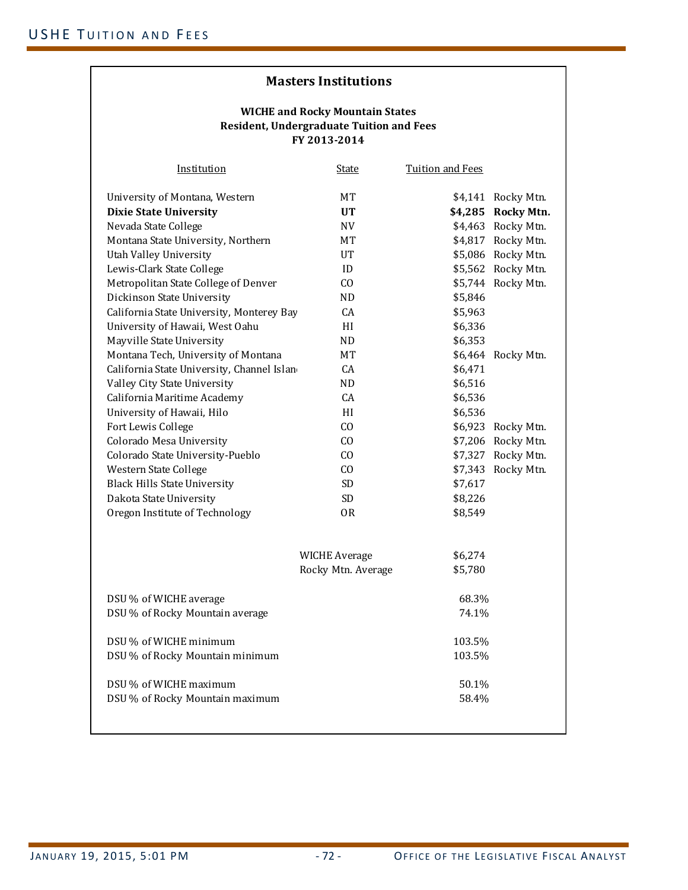| <u>Institution</u>                         | <u>State</u>         | <b>Tuition and Fees</b> |                    |
|--------------------------------------------|----------------------|-------------------------|--------------------|
| University of Montana, Western             | MT                   |                         | \$4,141 Rocky Mtn. |
| <b>Dixie State University</b>              | <b>UT</b>            |                         | \$4,285 Rocky Mtn. |
| Nevada State College                       | NV                   |                         | \$4,463 Rocky Mtn. |
| Montana State University, Northern         | МT                   |                         | \$4,817 Rocky Mtn. |
| Utah Valley University                     | UT                   |                         | \$5,086 Rocky Mtn. |
| Lewis-Clark State College                  | ID                   |                         | \$5,562 Rocky Mtn. |
| Metropolitan State College of Denver       | CO                   |                         | \$5,744 Rocky Mtn. |
| Dickinson State University                 | ND.                  | \$5,846                 |                    |
| California State University, Monterey Bay  | <b>CA</b>            | \$5,963                 |                    |
| University of Hawaii, West Oahu            | HI                   | \$6,336                 |                    |
| Mayville State University                  | ND.                  | \$6,353                 |                    |
| Montana Tech, University of Montana        | MT                   | \$6,464                 | Rocky Mtn.         |
| California State University, Channel Islan | CA                   | \$6,471                 |                    |
| Valley City State University               | ND                   | \$6,516                 |                    |
| California Maritime Academy                | CA                   | \$6,536                 |                    |
| University of Hawaii, Hilo                 | HI                   | \$6,536                 |                    |
| Fort Lewis College                         | CO.                  |                         | \$6,923 Rocky Mtn. |
| Colorado Mesa University                   | CO                   |                         | \$7,206 Rocky Mtn. |
| Colorado State University-Pueblo           | CO                   |                         | \$7,327 Rocky Mtn. |
| Western State College                      | CO.                  |                         | \$7,343 Rocky Mtn. |
| <b>Black Hills State University</b>        | SD.                  | \$7,617                 |                    |
| Dakota State University                    | SD.                  | \$8,226                 |                    |
| Oregon Institute of Technology             | 0R                   | \$8,549                 |                    |
|                                            |                      |                         |                    |
|                                            | <b>WICHE Average</b> | \$6,274                 |                    |
|                                            | Rocky Mtn. Average   | \$5,780                 |                    |
| DSU % of WICHE average                     |                      | 68.3%                   |                    |
| DSU % of Rocky Mountain average            |                      | 74.1%                   |                    |
| DSU % of WICHE minimum                     |                      | 103.5%                  |                    |
| DSU % of Rocky Mountain minimum            |                      | 103.5%                  |                    |
| DSU % of WICHE maximum                     |                      | 50.1%                   |                    |
| DSU % of Rocky Mountain maximum            |                      | 58.4%                   |                    |
|                                            |                      |                         |                    |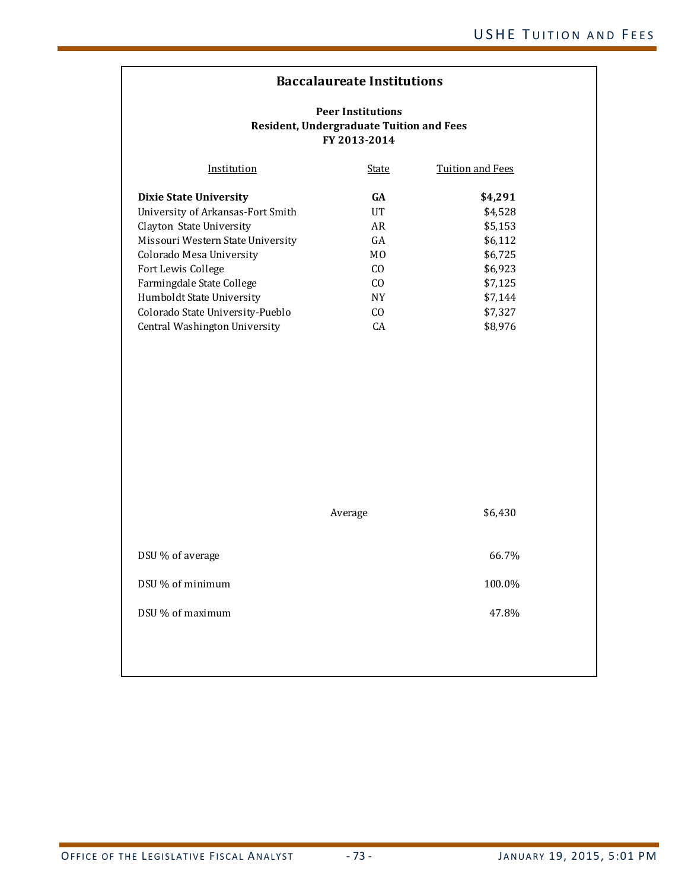## **Baccalaureate Institutions**

| Institution                       | State          | Tuition and Fees |
|-----------------------------------|----------------|------------------|
| <b>Dixie State University</b>     | <b>GA</b>      | \$4,291          |
| University of Arkansas-Fort Smith | UT             | \$4,528          |
| Clayton State University          | AR             | \$5,153          |
| Missouri Western State University | GA             | \$6,112          |
| Colorado Mesa University          | M <sub>0</sub> | \$6,725          |
| Fort Lewis College                | C <sub>O</sub> | \$6,923          |
| Farmingdale State College         | C <sub>O</sub> | \$7,125          |
| Humboldt State University         | <b>NY</b>      | \$7,144          |
| Colorado State University-Pueblo  | C <sub>O</sub> | \$7,327          |
| Central Washington University     | CA             | \$8,976          |

|                  | Average | \$6,430 |
|------------------|---------|---------|
| DSU % of average |         | 66.7%   |
| DSU % of minimum |         | 100.0%  |
| DSU % of maximum |         | 47.8%   |
|                  |         |         |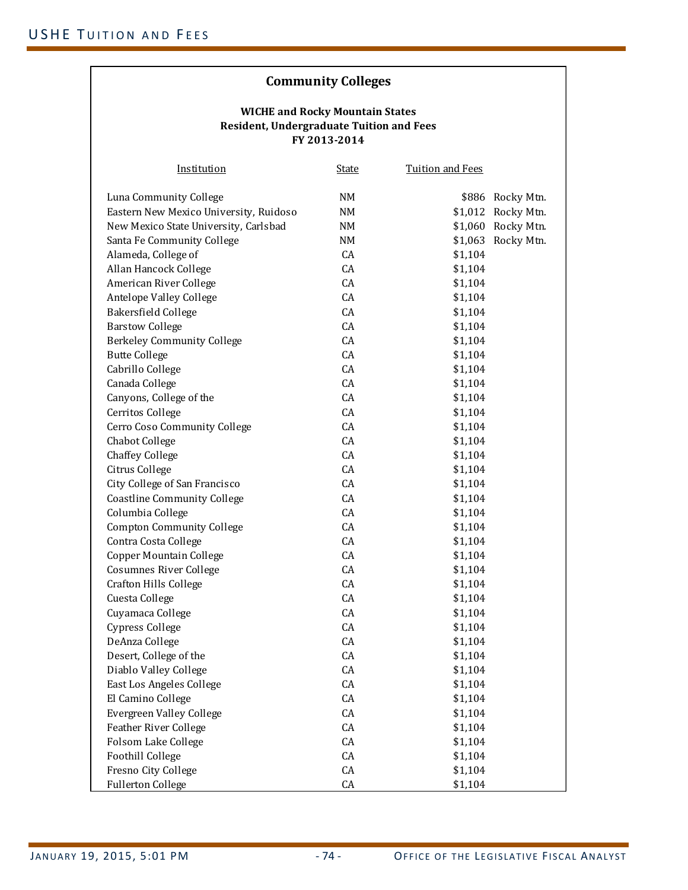# **Community Colleges**

| Institution                            | <u>State</u> | <b>Tuition and Fees</b> |                    |
|----------------------------------------|--------------|-------------------------|--------------------|
| Luna Community College                 | NM           |                         | \$886 Rocky Mtn.   |
| Eastern New Mexico University, Ruidoso | NM           | \$1,012                 | Rocky Mtn.         |
| New Mexico State University, Carlsbad  | NM           |                         | \$1,060 Rocky Mtn. |
| Santa Fe Community College             | NM           |                         | \$1,063 Rocky Mtn. |
| Alameda, College of                    | CA           | \$1,104                 |                    |
| Allan Hancock College                  | CA           | \$1,104                 |                    |
| American River College                 | CA           | \$1,104                 |                    |
| Antelope Valley College                | CA           | \$1,104                 |                    |
| Bakersfield College                    | CA           | \$1,104                 |                    |
| <b>Barstow College</b>                 | CA           | \$1,104                 |                    |
| <b>Berkeley Community College</b>      | CA           | \$1,104                 |                    |
| <b>Butte College</b>                   | CA           | \$1,104                 |                    |
| Cabrillo College                       | CA           | \$1,104                 |                    |
| Canada College                         | CA           | \$1,104                 |                    |
| Canyons, College of the                | CA           | \$1,104                 |                    |
| Cerritos College                       | CA           | \$1,104                 |                    |
| Cerro Coso Community College           | CA           | \$1,104                 |                    |
| Chabot College                         | CA           | \$1,104                 |                    |
| <b>Chaffey College</b>                 | CA           | \$1,104                 |                    |
| Citrus College                         | CA           | \$1,104                 |                    |
| City College of San Francisco          | CA           | \$1,104                 |                    |
| <b>Coastline Community College</b>     | CA           | \$1,104                 |                    |
| Columbia College                       | CA           | \$1,104                 |                    |
| <b>Compton Community College</b>       | CA           | \$1,104                 |                    |
| Contra Costa College                   | CA           | \$1,104                 |                    |
| Copper Mountain College                | CA           | \$1,104                 |                    |
| <b>Cosumnes River College</b>          | CA           | \$1,104                 |                    |
| <b>Crafton Hills College</b>           | CA           | \$1,104                 |                    |
| Cuesta College                         | CA           | \$1,104                 |                    |
| Cuyamaca College                       | CA           | \$1,104                 |                    |
| Cypress College                        | CA           | \$1,104                 |                    |
| DeAnza College                         | CA           | \$1,104                 |                    |
| Desert, College of the                 | CA           | \$1,104                 |                    |
| Diablo Valley College                  | CA           | \$1,104                 |                    |
| East Los Angeles College               | CA           | \$1,104                 |                    |
| El Camino College                      | CA           | \$1,104                 |                    |
| Evergreen Valley College               | CA           | \$1,104                 |                    |
| <b>Feather River College</b>           | CA           | \$1,104                 |                    |
| Folsom Lake College                    | CA           | \$1,104                 |                    |
| Foothill College                       | CA           | \$1,104                 |                    |
| Fresno City College                    | CA           | \$1,104                 |                    |
| <b>Fullerton College</b>               | CA           | \$1,104                 |                    |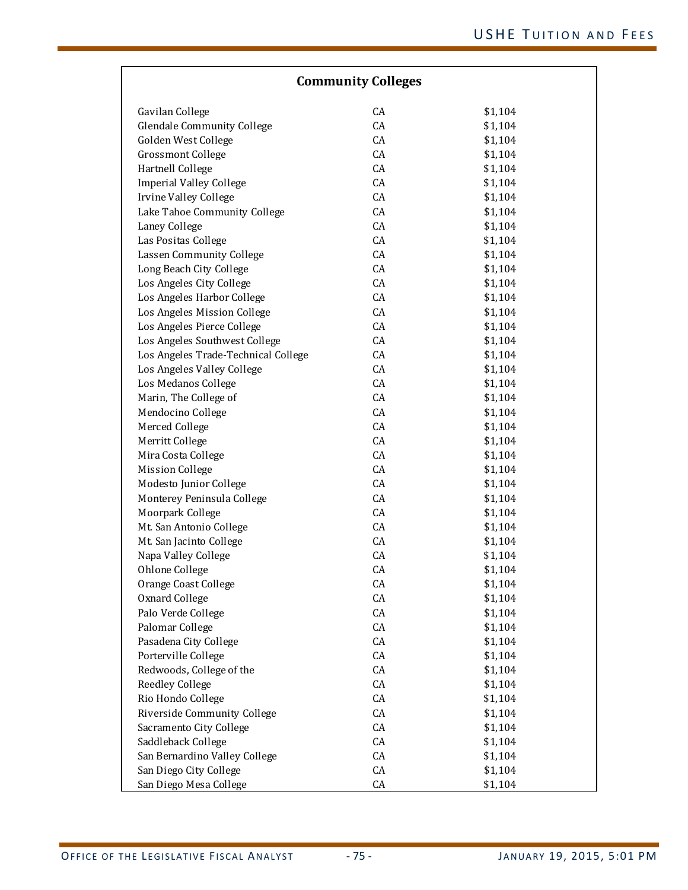| <b>Community Colleges</b>                          |    |         |  |
|----------------------------------------------------|----|---------|--|
| Gavilan College                                    | CA | \$1,104 |  |
| <b>Glendale Community College</b>                  | CA | \$1,104 |  |
| Golden West College                                | CA | \$1,104 |  |
| <b>Grossmont College</b>                           | CA | \$1,104 |  |
| Hartnell College                                   | CA | \$1,104 |  |
| <b>Imperial Valley College</b>                     | CA | \$1,104 |  |
| Irvine Valley College                              | CA | \$1,104 |  |
| Lake Tahoe Community College                       | CA | \$1,104 |  |
| Laney College                                      | CA | \$1,104 |  |
| Las Positas College                                | CA | \$1,104 |  |
| Lassen Community College                           | CA | \$1,104 |  |
| Long Beach City College                            | CA | \$1,104 |  |
| Los Angeles City College                           | CA | \$1,104 |  |
| Los Angeles Harbor College                         | CA | \$1,104 |  |
| Los Angeles Mission College                        | CA | \$1,104 |  |
| Los Angeles Pierce College                         | CA | \$1,104 |  |
| Los Angeles Southwest College                      | CA | \$1,104 |  |
| Los Angeles Trade-Technical College                | CA | \$1,104 |  |
| Los Angeles Valley College                         | CA | \$1,104 |  |
| Los Medanos College                                | CA | \$1,104 |  |
| Marin, The College of                              | CA | \$1,104 |  |
| Mendocino College                                  | CA | \$1,104 |  |
| Merced College                                     | CA | \$1,104 |  |
| Merritt College                                    | CA | \$1,104 |  |
| Mira Costa College                                 | CA | \$1,104 |  |
| <b>Mission College</b>                             | CA | \$1,104 |  |
| Modesto Junior College                             | CA | \$1,104 |  |
| Monterey Peninsula College                         | CA | \$1,104 |  |
| Moorpark College                                   | CA | \$1,104 |  |
| Mt. San Antonio College                            | CA | \$1,104 |  |
| Mt. San Jacinto College                            | CA | \$1,104 |  |
| Napa Valley College                                | CA | \$1,104 |  |
| Ohlone College                                     | CA | \$1,104 |  |
| Orange Coast College                               | CA | \$1,104 |  |
| Oxnard College                                     | CA | \$1,104 |  |
| Palo Verde College                                 | CA | \$1,104 |  |
| Palomar College                                    | CA | \$1,104 |  |
| Pasadena City College                              | CA | \$1,104 |  |
| Porterville College                                | CA | \$1,104 |  |
|                                                    | CA |         |  |
| Redwoods, College of the<br><b>Reedley College</b> | CA | \$1,104 |  |
|                                                    |    | \$1,104 |  |
| Rio Hondo College                                  | CA | \$1,104 |  |
| Riverside Community College                        | CA | \$1,104 |  |
| Sacramento City College                            | CA | \$1,104 |  |
| Saddleback College                                 | CA | \$1,104 |  |
| San Bernardino Valley College                      | CA | \$1,104 |  |
| San Diego City College                             | CA | \$1,104 |  |
| San Diego Mesa College                             | CA | \$1,104 |  |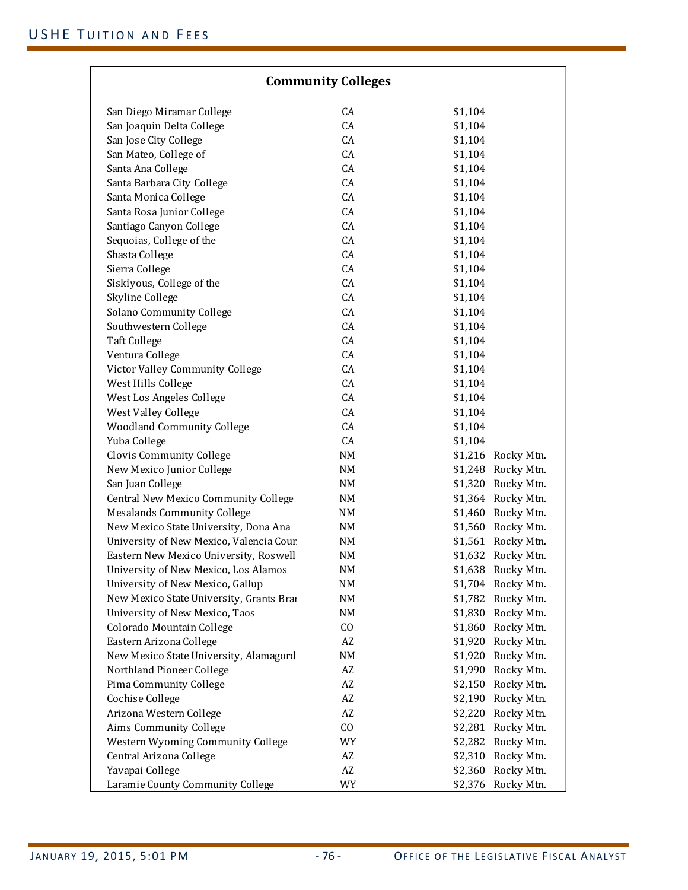| <b>Community Colleges</b>                |                        |                       |  |
|------------------------------------------|------------------------|-----------------------|--|
| San Diego Miramar College                | CA                     | \$1,104               |  |
| San Joaquin Delta College                | CA                     | \$1,104               |  |
| San Jose City College                    | CA                     | \$1,104               |  |
| San Mateo, College of                    | CA                     | \$1,104               |  |
| Santa Ana College                        | CA                     | \$1,104               |  |
| Santa Barbara City College               | CA                     | \$1,104               |  |
| Santa Monica College                     | CA                     | \$1,104               |  |
| Santa Rosa Junior College                | CA                     | \$1,104               |  |
| Santiago Canyon College                  | CA                     | \$1,104               |  |
| Sequoias, College of the                 | CA                     | \$1,104               |  |
| Shasta College                           | CA                     | \$1,104               |  |
| Sierra College                           | CA                     | \$1,104               |  |
| Siskiyous, College of the                | CA                     | \$1,104               |  |
|                                          | CA                     | \$1,104               |  |
| Skyline College                          | CA                     |                       |  |
| Solano Community College                 |                        | \$1,104               |  |
| Southwestern College                     | CA                     | \$1,104               |  |
| <b>Taft College</b>                      | CA                     | \$1,104               |  |
| Ventura College                          | CA                     | \$1,104               |  |
| Victor Valley Community College          | CA                     | \$1,104               |  |
| West Hills College                       | CA                     | \$1,104               |  |
| West Los Angeles College                 | CA                     | \$1,104               |  |
| West Valley College                      | CA                     | \$1,104               |  |
| <b>Woodland Community College</b>        | CA                     | \$1,104               |  |
| Yuba College                             | CA                     | \$1,104               |  |
| Clovis Community College                 | NM                     | \$1,216<br>Rocky Mtn. |  |
| New Mexico Junior College                | NM                     | \$1,248<br>Rocky Mtn. |  |
| San Juan College                         | NM                     | \$1,320<br>Rocky Mtn. |  |
| Central New Mexico Community College     | NM                     | \$1,364 Rocky Mtn.    |  |
| <b>Mesalands Community College</b>       | NM                     | \$1,460 Rocky Mtn.    |  |
| New Mexico State University, Dona Ana    | NM                     | \$1,560 Rocky Mtn.    |  |
| University of New Mexico, Valencia Coun  | NM                     | \$1,561 Rocky Mtn.    |  |
| Eastern New Mexico University, Roswell   | NM                     | \$1,632 Rocky Mtn.    |  |
| University of New Mexico, Los Alamos     | NΜ                     | \$1,638<br>Rocky Mtn. |  |
| University of New Mexico, Gallup         | NM                     | \$1,704<br>Rocky Mtn. |  |
| New Mexico State University, Grants Brar | NM                     | \$1,782<br>Rocky Mtn. |  |
| University of New Mexico, Taos           | NM                     | Rocky Mtn.<br>\$1,830 |  |
| Colorado Mountain College                | $\rm CO$               | \$1,860<br>Rocky Mtn. |  |
| Eastern Arizona College                  | AZ                     | \$1,920<br>Rocky Mtn. |  |
| New Mexico State University, Alamagord   | NM                     | \$1,920<br>Rocky Mtn. |  |
| Northland Pioneer College                | AZ                     | \$1,990<br>Rocky Mtn. |  |
| Pima Community College                   | AZ                     | Rocky Mtn.<br>\$2,150 |  |
| Cochise College                          | $\mathbf{A}\mathbf{Z}$ | \$2,190<br>Rocky Mtn. |  |
| Arizona Western College                  | AZ                     | \$2,220<br>Rocky Mtn. |  |
| Aims Community College                   | CO                     | \$2,281<br>Rocky Mtn. |  |
| Western Wyoming Community College        | WY                     | \$2,282<br>Rocky Mtn. |  |
| Central Arizona College                  | AZ                     | \$2,310<br>Rocky Mtn. |  |
| Yavapai College                          | AZ                     | \$2,360<br>Rocky Mtn. |  |
| Laramie County Community College         | WY                     | \$2,376<br>Rocky Mtn. |  |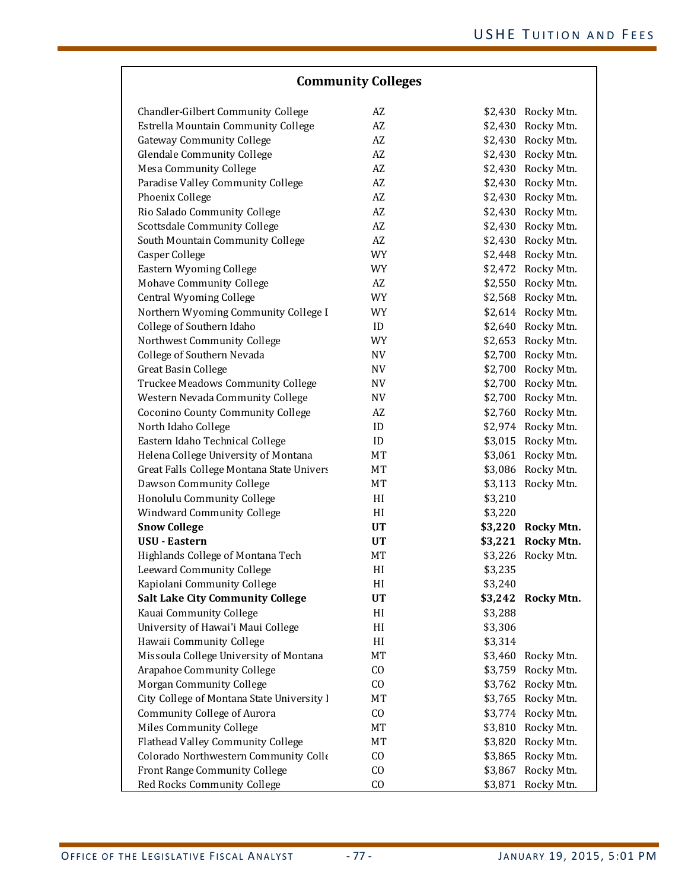| <b>Community Colleges</b>                  |                        |         |                    |
|--------------------------------------------|------------------------|---------|--------------------|
| Chandler-Gilbert Community College         | AZ                     |         | \$2,430 Rocky Mtn. |
| Estrella Mountain Community College        | AZ                     |         | \$2,430 Rocky Mtn. |
| <b>Gateway Community College</b>           | AZ                     |         | \$2,430 Rocky Mtn. |
| <b>Glendale Community College</b>          | $\mathbf{A}\mathbf{Z}$ |         | \$2,430 Rocky Mtn. |
| <b>Mesa Community College</b>              | $\mathbf{A}\mathbf{Z}$ |         | \$2,430 Rocky Mtn. |
| Paradise Valley Community College          | $\mathbf{A}\mathbf{Z}$ |         | \$2,430 Rocky Mtn. |
| Phoenix College                            | $\mathbf{A}\mathbf{Z}$ |         | \$2,430 Rocky Mtn. |
| Rio Salado Community College               | $\mathbf{A}\mathbf{Z}$ |         | \$2,430 Rocky Mtn. |
| Scottsdale Community College               | $\mathbf{A}\mathbf{Z}$ |         | \$2,430 Rocky Mtn. |
| South Mountain Community College           | $\mathbf{A}\mathbf{Z}$ |         | \$2,430 Rocky Mtn. |
| Casper College                             | <b>WY</b>              |         | \$2,448 Rocky Mtn. |
| Eastern Wyoming College                    | WY                     |         | \$2,472 Rocky Mtn. |
| <b>Mohave Community College</b>            | $\mathbf{A}\mathbf{Z}$ |         | \$2,550 Rocky Mtn. |
| Central Wyoming College                    | <b>WY</b>              |         | \$2,568 Rocky Mtn. |
| Northern Wyoming Community College I       | <b>WY</b>              |         | \$2,614 Rocky Mtn. |
| College of Southern Idaho                  | ID                     |         | \$2,640 Rocky Mtn. |
| Northwest Community College                | <b>WY</b>              |         | \$2,653 Rocky Mtn. |
| College of Southern Nevada                 | <b>NV</b>              |         | \$2,700 Rocky Mtn. |
| <b>Great Basin College</b>                 | NV                     |         | \$2,700 Rocky Mtn. |
| Truckee Meadows Community College          | NV                     |         | \$2,700 Rocky Mtn. |
| Western Nevada Community College           | NV                     |         | \$2,700 Rocky Mtn. |
| Coconino County Community College          | AZ                     |         | \$2,760 Rocky Mtn. |
| North Idaho College                        | $\mathbf{ID}$          |         | \$2,974 Rocky Mtn. |
| Eastern Idaho Technical College            | ID                     | \$3,015 | Rocky Mtn.         |
| Helena College University of Montana       | MT                     | \$3,061 | Rocky Mtn.         |
| Great Falls College Montana State Univers  | MT                     |         | \$3,086 Rocky Mtn. |
| Dawson Community College                   | MT                     | \$3,113 | Rocky Mtn.         |
| Honolulu Community College                 | HI                     | \$3,210 |                    |
| <b>Windward Community College</b>          | HI                     | \$3,220 |                    |
| <b>Snow College</b>                        | <b>UT</b>              | \$3,220 | Rocky Mtn.         |
| <b>USU - Eastern</b>                       | UT                     | \$3,221 | <b>Rocky Mtn.</b>  |
| Highlands College of Montana Tech          | <b>MT</b>              | \$3,226 | Rocky Mtn.         |
| Leeward Community College                  | HI                     | \$3,235 |                    |
| Kapiolani Community College                | HI                     | \$3,240 |                    |
| <b>Salt Lake City Community College</b>    | <b>UT</b>              | \$3,242 | <b>Rocky Mtn.</b>  |
| Kauai Community College                    | HI                     | \$3,288 |                    |
| University of Hawai'i Maui College         | H                      | \$3,306 |                    |
| Hawaii Community College                   | HI                     | \$3,314 |                    |
| Missoula College University of Montana     | MT                     | \$3,460 | Rocky Mtn.         |
| <b>Arapahoe Community College</b>          | CO                     | \$3,759 | Rocky Mtn.         |
| Morgan Community College                   | CO                     | \$3,762 | Rocky Mtn.         |
| City College of Montana State University I | MT                     |         | \$3,765 Rocky Mtn. |
| Community College of Aurora                | CO                     |         | \$3,774 Rocky Mtn. |
| Miles Community College                    | MT                     | \$3,810 | Rocky Mtn.         |
| Flathead Valley Community College          | MT                     | \$3,820 | Rocky Mtn.         |
| Colorado Northwestern Community Colle      | CO                     | \$3,865 | Rocky Mtn.         |
| Front Range Community College              | CO                     | \$3,867 | Rocky Mtn.         |
| Red Rocks Community College                | CO                     | \$3,871 | Rocky Mtn.         |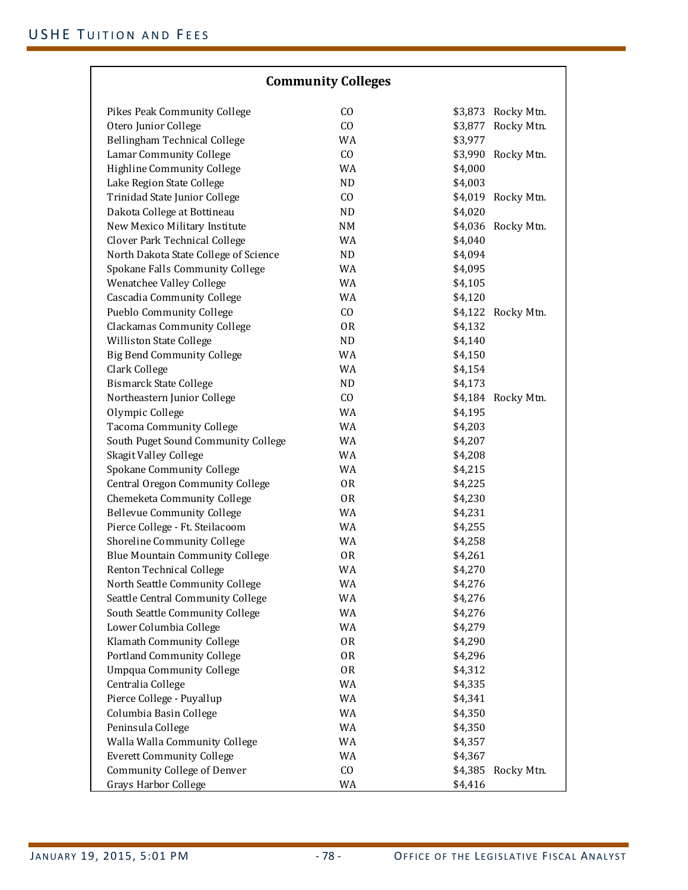| <b>Community Colleges</b>              |           |         |                    |
|----------------------------------------|-----------|---------|--------------------|
| Pikes Peak Community College           | CO        | \$3,873 | Rocky Mtn.         |
| Otero Junior College                   | CO        | \$3,877 | Rocky Mtn.         |
| Bellingham Technical College           | WA        | \$3,977 |                    |
| Lamar Community College                | CO        | \$3,990 | Rocky Mtn.         |
| Highline Community College             | WA        | \$4,000 |                    |
| Lake Region State College              | ND        | \$4,003 |                    |
| Trinidad State Junior College          | CO        | \$4,019 | Rocky Mtn.         |
| Dakota College at Bottineau            | ND        | \$4,020 |                    |
| New Mexico Military Institute          | NM        | \$4,036 | Rocky Mtn.         |
| Clover Park Technical College          | WA        | \$4,040 |                    |
| North Dakota State College of Science  | ND        | \$4,094 |                    |
| Spokane Falls Community College        | WA        | \$4,095 |                    |
| Wenatchee Valley College               | WA        | \$4,105 |                    |
| Cascadia Community College             | WA        | \$4,120 |                    |
| Pueblo Community College               | CO        | \$4,122 | Rocky Mtn.         |
| <b>Clackamas Community College</b>     | 0R        | \$4,132 |                    |
| Williston State College                | ND        | \$4,140 |                    |
| <b>Big Bend Community College</b>      | WA        | \$4,150 |                    |
| Clark College                          | WA        | \$4,154 |                    |
| <b>Bismarck State College</b>          | ND        | \$4,173 |                    |
| Northeastern Junior College            | CO        |         | \$4,184 Rocky Mtn. |
| Olympic College                        | WA        | \$4,195 |                    |
| <b>Tacoma Community College</b>        | WA        | \$4,203 |                    |
| South Puget Sound Community College    | WA        | \$4,207 |                    |
| Skagit Valley College                  | WA        | \$4,208 |                    |
| Spokane Community College              | WA        | \$4,215 |                    |
| Central Oregon Community College       | 0R        | \$4,225 |                    |
| Chemeketa Community College            | <b>OR</b> | \$4,230 |                    |
| <b>Bellevue Community College</b>      | WA        | \$4,231 |                    |
| Pierce College - Ft. Steilacoom        | WA        | \$4,255 |                    |
| Shoreline Community College            | WA        | \$4,258 |                    |
| <b>Blue Mountain Community College</b> | 0R        | \$4,261 |                    |
| Renton Technical College               | WA        | \$4,270 |                    |
| North Seattle Community College        | WA        | \$4,276 |                    |
| Seattle Central Community College      | WA        | \$4,276 |                    |
| South Seattle Community College        | WA        | \$4,276 |                    |
| Lower Columbia College                 | WA        | \$4,279 |                    |
| Klamath Community College              | 0R        | \$4,290 |                    |
| Portland Community College             | 0R        | \$4,296 |                    |
| <b>Umpqua Community College</b>        | 0R        | \$4,312 |                    |
| Centralia College                      | WA        | \$4,335 |                    |
| Pierce College - Puyallup              | WA        | \$4,341 |                    |
| Columbia Basin College                 | WA        | \$4,350 |                    |
| Peninsula College                      | WA        | \$4,350 |                    |
| Walla Walla Community College          | WA        | \$4,357 |                    |
| <b>Everett Community College</b>       | WA        | \$4,367 |                    |
| Community College of Denver            | CO        | \$4,385 | Rocky Mtn.         |
| Grays Harbor College                   | WA        | \$4,416 |                    |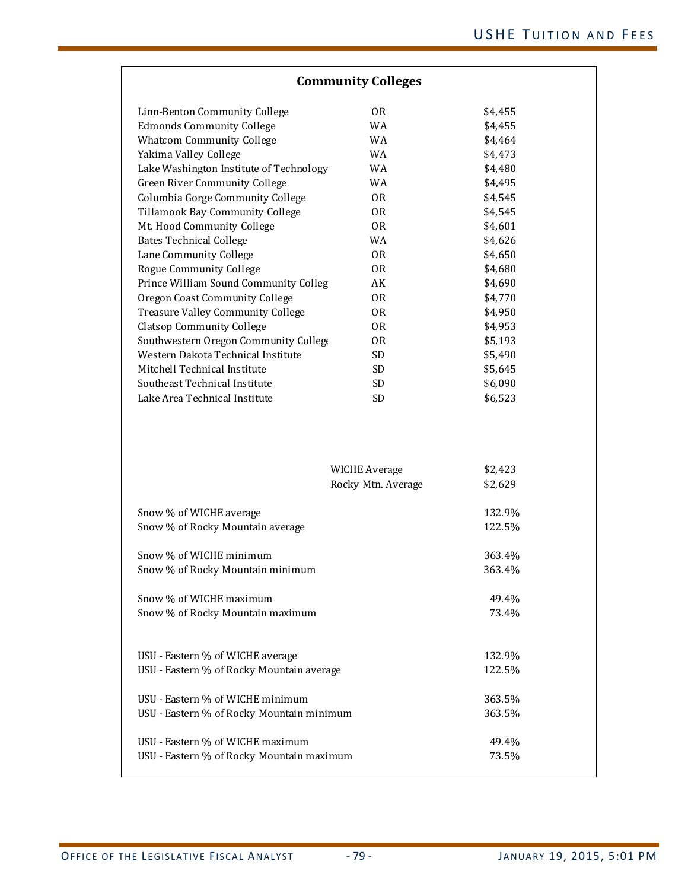| <b>Community Colleges</b>                 |                                            |                    |  |
|-------------------------------------------|--------------------------------------------|--------------------|--|
| Linn-Benton Community College             | 0 <sub>R</sub>                             | \$4,455            |  |
| <b>Edmonds Community College</b>          | WA                                         | \$4,455            |  |
| <b>Whatcom Community College</b>          | WA                                         | \$4,464            |  |
| Yakima Valley College                     | WA                                         | \$4,473            |  |
| Lake Washington Institute of Technology   | WA                                         | \$4,480            |  |
| Green River Community College             | WA                                         | \$4,495            |  |
| Columbia Gorge Community College          | 0 <sub>R</sub>                             | \$4,545            |  |
| Tillamook Bay Community College           | 0 <sub>R</sub>                             | \$4,545            |  |
| Mt. Hood Community College                | 0R                                         | \$4,601            |  |
| <b>Bates Technical College</b>            | WA                                         | \$4,626            |  |
| Lane Community College                    | 0 <sub>R</sub>                             | \$4,650            |  |
| Rogue Community College                   | 0R                                         | \$4,680            |  |
| Prince William Sound Community Colleg     | AK                                         | \$4,690            |  |
| Oregon Coast Community College            | 0R                                         | \$4,770            |  |
| Treasure Valley Community College         | 0 <sub>R</sub>                             | \$4,950            |  |
| <b>Clatsop Community College</b>          | 0R                                         | \$4,953            |  |
| Southwestern Oregon Community College     | 0R                                         | \$5,193            |  |
| Western Dakota Technical Institute        | SD <sub>1</sub>                            | \$5,490            |  |
| Mitchell Technical Institute              | <b>SD</b>                                  | \$5,645            |  |
| Southeast Technical Institute             | <b>SD</b>                                  | \$6,090            |  |
| Lake Area Technical Institute             | <b>SD</b>                                  | \$6,523            |  |
|                                           | <b>WICHE Average</b><br>Rocky Mtn. Average | \$2,423<br>\$2,629 |  |
|                                           |                                            |                    |  |
| Snow % of WICHE average                   |                                            | 132.9%             |  |
| Snow % of Rocky Mountain average          |                                            | 122.5%             |  |
| Snow % of WICHE minimum                   |                                            | 363.4%             |  |
| Snow % of Rocky Mountain minimum          |                                            | 363.4%             |  |
|                                           |                                            |                    |  |
| Snow % of WICHE maximum                   |                                            | 49.4%              |  |
| Snow % of Rocky Mountain maximum          |                                            | 73.4%              |  |
|                                           |                                            |                    |  |
| USU - Eastern % of WICHE average          |                                            | 132.9%             |  |
| USU - Eastern % of Rocky Mountain average |                                            | 122.5%             |  |
| USU - Eastern % of WICHE minimum          |                                            | 363.5%             |  |
| USU - Eastern % of Rocky Mountain minimum |                                            | 363.5%             |  |
|                                           |                                            |                    |  |
| USU - Eastern % of WICHE maximum          |                                            | 49.4%              |  |
| USU - Eastern % of Rocky Mountain maximum |                                            | 73.5%              |  |
|                                           |                                            |                    |  |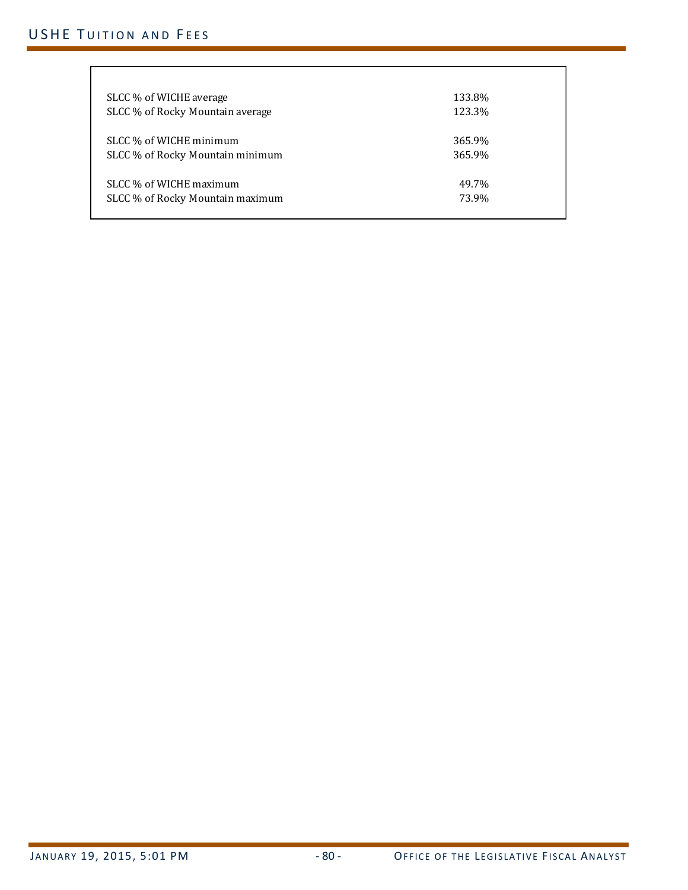# USHE TUITION AND FEES

| SLCC % of WICHE average          | 133.8% |
|----------------------------------|--------|
| SLCC % of Rocky Mountain average | 123.3% |
|                                  |        |
| SLCC % of WICHE minimum          | 365.9% |
| SLCC % of Rocky Mountain minimum | 365.9% |
|                                  |        |
| SLCC % of WICHE maximum          | 49.7%  |
| SLCC % of Rocky Mountain maximum | 73.9%  |
|                                  |        |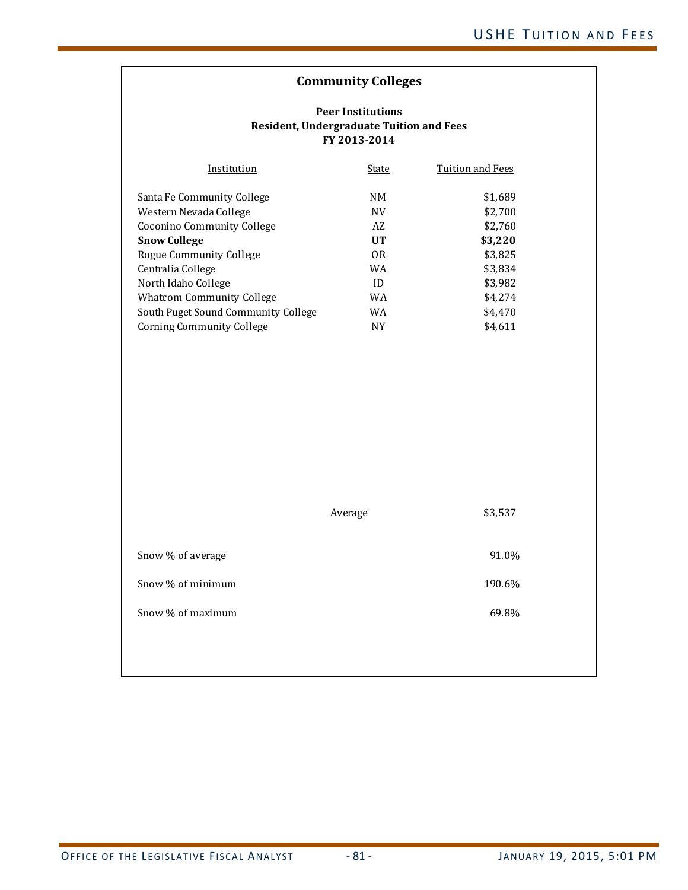# **Community Colleges**

## **Peer Institutions Resident, Undergraduate Tuition and Fees FY 2013‐2014**

| Institution                         | State          | Tuition and Fees |
|-------------------------------------|----------------|------------------|
| Santa Fe Community College          | NM             | \$1,689          |
| Western Nevada College              | <b>NV</b>      | \$2,700          |
| Coconino Community College          | AZ             | \$2,760          |
| <b>Snow College</b>                 | <b>UT</b>      | \$3,220          |
| Rogue Community College             | 0 <sub>R</sub> | \$3,825          |
| Centralia College                   | WA             | \$3,834          |
| North Idaho College                 | ID             | \$3,982          |
| <b>Whatcom Community College</b>    | WA             | \$4,274          |
| South Puget Sound Community College | WA             | \$4,470          |
| Corning Community College           | NΥ             | \$4,611          |

|                   | Average | \$3,537 |
|-------------------|---------|---------|
| Snow % of average |         | 91.0%   |
| Snow % of minimum |         | 190.6%  |
| Snow % of maximum |         | 69.8%   |
|                   |         |         |